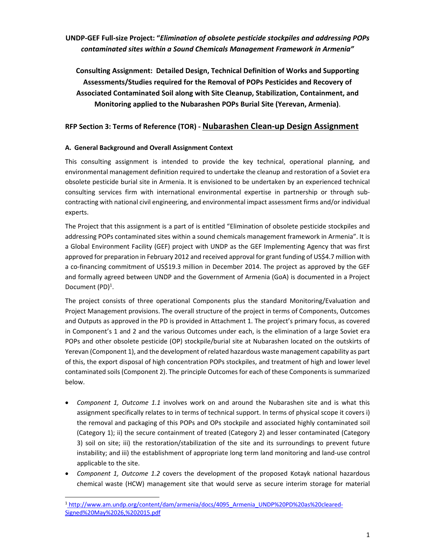# **UNDP‐GEF Full‐size Project: "***Elimination of obsolete pesticide stockpiles and addressing POPs contaminated sites within a Sound Chemicals Management Framework in Armenia"*

**Consulting Assignment: Detailed Design, Technical Definition of Works and Supporting Assessments/Studies required for the Removal of POPs Pesticides and Recovery of Associated Contaminated Soil along with Site Cleanup, Stabilization, Containment, and Monitoring applied to the Nubarashen POPs Burial Site (Yerevan, Armenia)**.

# **RFP Section 3: Terms of Reference (TOR) ‐ Nubarashen Clean‐up Design Assignment**

# **A. General Background and Overall Assignment Context**

This consulting assignment is intended to provide the key technical, operational planning, and environmental management definition required to undertake the cleanup and restoration of a Soviet era obsolete pesticide burial site in Armenia. It is envisioned to be undertaken by an experienced technical consulting services firm with international environmental expertise in partnership or through sub‐ contracting with national civil engineering, and environmental impact assessment firms and/or individual experts.

The Project that this assignment is a part of is entitled "Elimination of obsolete pesticide stockpiles and addressing POPs contaminated sites within a sound chemicals management framework in Armenia". It is a Global Environment Facility (GEF) project with UNDP as the GEF Implementing Agency that was first approved for preparation in February 2012 and received approval for grant funding of US\$4.7 million with a co-financing commitment of US\$19.3 million in December 2014. The project as approved by the GEF and formally agreed between UNDP and the Government of Armenia (GoA) is documented in a Project Document (PD)<sup>1</sup>.

The project consists of three operational Components plus the standard Monitoring/Evaluation and Project Management provisions. The overall structure of the project in terms of Components, Outcomes and Outputs as approved in the PD is provided in Attachment 1. The project's primary focus, as covered in Component's 1 and 2 and the various Outcomes under each, is the elimination of a large Soviet era POPs and other obsolete pesticide (OP) stockpile/burial site at Nubarashen located on the outskirts of Yerevan (Component 1), and the development of related hazardous waste management capability as part of this, the export disposal of high concentration POPs stockpiles, and treatment of high and lower level contaminated soils (Component 2). The principle Outcomes for each of these Components is summarized below.

- *Component 1, Outcome 1.1* involves work on and around the Nubarashen site and is what this assignment specifically relates to in terms of technical support. In terms of physical scope it covers i) the removal and packaging of this POPs and OPs stockpile and associated highly contaminated soil (Category 1); ii) the secure containment of treated (Category 2) and lesser contaminated (Category 3) soil on site; iii) the restoration/stabilization of the site and its surroundings to prevent future instability; and iii) the establishment of appropriate long term land monitoring and land‐use control applicable to the site.
- *Component 1, Outcome 1.2* covers the development of the proposed Kotayk national hazardous chemical waste (HCW) management site that would serve as secure interim storage for material

 <sup>1</sup> http://www.am.undp.org/content/dam/armenia/docs/4095\_Armenia\_UNDP%20PD%20as%20cleared-Signed%20May%2026,%202015.pdf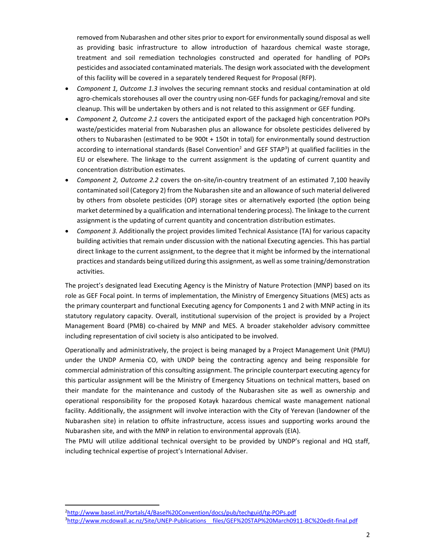removed from Nubarashen and other sites prior to export for environmentally sound disposal as well as providing basic infrastructure to allow introduction of hazardous chemical waste storage, treatment and soil remediation technologies constructed and operated for handling of POPs pesticides and associated contaminated materials. The design work associated with the development of this facility will be covered in a separately tendered Request for Proposal (RFP).

- *Component 1, Outcome 1.3* involves the securing remnant stocks and residual contamination at old agro-chemicals storehouses all over the country using non-GEF funds for packaging/removal and site cleanup. This will be undertaken by others and is not related to this assignment or GEF funding.
- *Component 2, Outcome 2.1* covers the anticipated export of the packaged high concentration POPs waste/pesticides material from Nubarashen plus an allowance for obsolete pesticides delivered by others to Nubarashen (estimated to be 900t + 150t in total) for environmentally sound destruction according to international standards (Basel Convention<sup>2</sup> and GEF STAP<sup>3</sup>) at qualified facilities in the EU or elsewhere. The linkage to the current assignment is the updating of current quantity and concentration distribution estimates.
- *Component 2, Outcome 2.2* covers the on‐site/in‐country treatment of an estimated 7,100 heavily contaminated soil (Category 2) from the Nubarashen site and an allowance of such material delivered by others from obsolete pesticides (OP) storage sites or alternatively exported (the option being market determined by a qualification and international tendering process). The linkage to the current assignment is the updating of current quantity and concentration distribution estimates.
- *Component 3.* Additionally the project provides limited Technical Assistance (TA) for various capacity building activities that remain under discussion with the national Executing agencies. This has partial direct linkage to the current assignment, to the degree that it might be informed by the international practices and standards being utilized during this assignment, as well assome training/demonstration activities.

The project's designated lead Executing Agency is the Ministry of Nature Protection (MNP) based on its role as GEF Focal point. In terms of implementation, the Ministry of Emergency Situations (MES) acts as the primary counterpart and functional Executing agency for Components 1 and 2 with MNP acting in its statutory regulatory capacity. Overall, institutional supervision of the project is provided by a Project Management Board (PMB) co-chaired by MNP and MES. A broader stakeholder advisory committee including representation of civil society is also anticipated to be involved.

Operationally and administratively, the project is being managed by a Project Management Unit (PMU) under the UNDP Armenia CO, with UNDP being the contracting agency and being responsible for commercial administration of this consulting assignment. The principle counterpart executing agency for this particular assignment will be the Ministry of Emergency Situations on technical matters, based on their mandate for the maintenance and custody of the Nubarashen site as well as ownership and operational responsibility for the proposed Kotayk hazardous chemical waste management national facility. Additionally, the assignment will involve interaction with the City of Yerevan (landowner of the Nubarashen site) in relation to offsite infrastructure, access issues and supporting works around the Nubarashen site, and with the MNP in relation to environmental approvals (EIA).

The PMU will utilize additional technical oversight to be provided by UNDP's regional and HQ staff, including technical expertise of project's International Adviser.

<sup>2</sup> http://www.basel.int/Portals/4/Basel%20Convention/docs/pub/techguid/tg‐POPs.pdf

<sup>3</sup> http://www.mcdowall.ac.nz/Site/UNEP‐Publications\_\_files/GEF%20STAP%20March0911‐BC%20edit‐final.pdf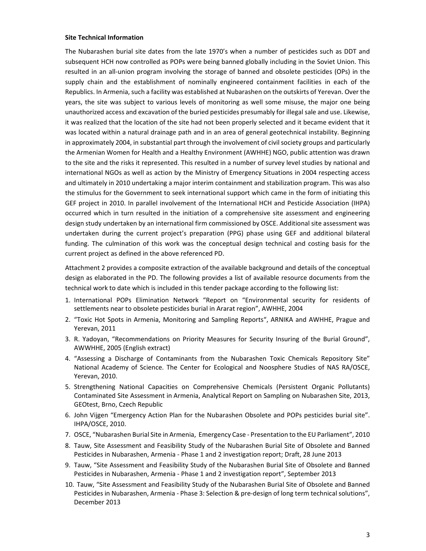#### **Site Technical Information**

The Nubarashen burial site dates from the late 1970's when a number of pesticides such as DDT and subsequent HCH now controlled as POPs were being banned globally including in the Soviet Union. This resulted in an all-union program involving the storage of banned and obsolete pesticides (OPs) in the supply chain and the establishment of nominally engineered containment facilities in each of the Republics. In Armenia, such a facility was established at Nubarashen on the outskirts of Yerevan. Over the years, the site was subject to various levels of monitoring as well some misuse, the major one being unauthorized access and excavation of the buried pesticides presumably for illegal sale and use. Likewise, it was realized that the location of the site had not been properly selected and it became evident that it was located within a natural drainage path and in an area of general geotechnical instability. Beginning in approximately 2004, in substantial part through the involvement of civil society groups and particularly the Armenian Women for Health and a Healthy Environment (AWHHE) NGO, public attention was drawn to the site and the risks it represented. This resulted in a number of survey level studies by national and international NGOs as well as action by the Ministry of Emergency Situations in 2004 respecting access and ultimately in 2010 undertaking a major interim containment and stabilization program. This was also the stimulus for the Government to seek international support which came in the form of initiating this GEF project in 2010. In parallel involvement of the International HCH and Pesticide Association (IHPA) occurred which in turn resulted in the initiation of a comprehensive site assessment and engineering design study undertaken by an international firm commissioned by OSCE. Additional site assessment was undertaken during the current project's preparation (PPG) phase using GEF and additional bilateral funding. The culmination of this work was the conceptual design technical and costing basis for the current project as defined in the above referenced PD.

Attachment 2 provides a composite extraction of the available background and details of the conceptual design as elaborated in the PD. The following provides a list of available resource documents from the technical work to date which is included in this tender package according to the following list:

- 1. International POPs Elimination Network "Report on "Environmental security for residents of settlements near to obsolete pesticides burial in Ararat region", AWHHE, 2004
- 2. "Toxic Hot Spots in Armenia, Monitoring and Sampling Reports", ARNIKA and AWHHE, Prague and Yerevan, 2011
- 3. R. Yadoyan, "Recommendations on Priority Measures for Security Insuring of the Burial Ground", AWWHHE, 2005 (English extract)
- 4. "Assessing a Discharge of Contaminants from the Nubarashen Toxic Chemicals Repository Site" National Academy of Science. The Center for Ecological and Noosphere Studies of NAS RA/OSCE, Yerevan, 2010.
- 5. Strengthening National Capacities on Comprehensive Chemicals (Persistent Organic Pollutants) Contaminated Site Assessment in Armenia, Analytical Report on Sampling on Nubarashen Site, 2013, GEOtest, Brno, Czech Republic
- 6. John Vijgen "Emergency Action Plan for the Nubarashen Obsolete and POPs pesticides burial site". IHPA/OSCE, 2010.
- 7. OSCE, "Nubarashen Burial Site in Armenia, Emergency Case ‐ Presentation to the EU Parliament", 2010
- 8. Tauw, Site Assessment and Feasibility Study of the Nubarashen Burial Site of Obsolete and Banned Pesticides in Nubarashen, Armenia ‐ Phase 1 and 2 investigation report; Draft, 28 June 2013
- 9. Tauw, "Site Assessment and Feasibility Study of the Nubarashen Burial Site of Obsolete and Banned Pesticides in Nubarashen, Armenia ‐ Phase 1 and 2 investigation report", September 2013
- 10. Tauw, "Site Assessment and Feasibility Study of the Nubarashen Burial Site of Obsolete and Banned Pesticides in Nubarashen, Armenia ‐ Phase 3: Selection & pre‐design of long term technical solutions", December 2013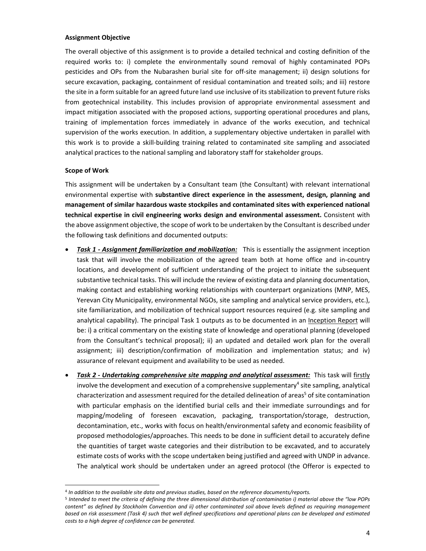### **Assignment Objective**

The overall objective of this assignment is to provide a detailed technical and costing definition of the required works to: i) complete the environmentally sound removal of highly contaminated POPs pesticides and OPs from the Nubarashen burial site for off‐site management; ii) design solutions for secure excavation, packaging, containment of residual contamination and treated soils; and iii) restore the site in a form suitable for an agreed future land use inclusive of its stabilization to prevent future risks from geotechnical instability. This includes provision of appropriate environmental assessment and impact mitigation associated with the proposed actions, supporting operational procedures and plans, training of implementation forces immediately in advance of the works execution, and technical supervision of the works execution. In addition, a supplementary objective undertaken in parallel with this work is to provide a skill‐building training related to contaminated site sampling and associated analytical practices to the national sampling and laboratory staff for stakeholder groups.

### **Scope of Work**

This assignment will be undertaken by a Consultant team (the Consultant) with relevant international environmental expertise with **substantive direct experience in the assessment, design, planning and management of similar hazardous waste stockpiles and contaminated sites with experienced national technical expertise in civil engineering works design and environmental assessment.** Consistent with the above assignment objective, the scope of work to be undertaken by the Consultant is described under the following task definitions and documented outputs:

- *Task 1 ‐ Assignment familiarization and mobilization:* This is essentially the assignment inception task that will involve the mobilization of the agreed team both at home office and in‐country locations, and development of sufficient understanding of the project to initiate the subsequent substantive technical tasks. This will include the review of existing data and planning documentation, making contact and establishing working relationships with counterpart organizations (MNP, MES, Yerevan City Municipality, environmental NGOs, site sampling and analytical service providers, etc.), site familiarization, and mobilization of technical support resources required (e.g. site sampling and analytical capability). The principal Task 1 outputs as to be documented in an Inception Report will be: i) a critical commentary on the existing state of knowledge and operational planning (developed from the Consultant's technical proposal); ii) an updated and detailed work plan for the overall assignment; iii) description/confirmation of mobilization and implementation status; and iv) assurance of relevant equipment and availability to be used as needed.
- *Task 2 ‐ Undertaking comprehensive site mapping and analytical assessment:* This task will firstly involve the development and execution of a comprehensive supplementary<sup>4</sup> site sampling, analytical characterization and assessment required for the detailed delineation of areas<sup>5</sup> of site contamination with particular emphasis on the identified burial cells and their immediate surroundings and for mapping/modeling of foreseen excavation, packaging, transportation/storage, destruction, decontamination, etc., works with focus on health/environmental safety and economic feasibility of proposed methodologies/approaches. This needs to be done in sufficient detail to accurately define the quantities of target waste categories and their distribution to be excavated, and to accurately estimate costs of works with the scope undertaken being justified and agreed with UNDP in advance. The analytical work should be undertaken under an agreed protocol (the Offeror is expected to

<sup>4</sup> *In addition to the available site data and previous studies, based on the reference documents/reports.*

<sup>&</sup>lt;sup>5</sup> Intended to meet the criteria of defining the three dimensional distribution of contamination i) material above the "low POPs content" as defined by Stockholm Convention and ii) other contaminated soil above levels defined as requiring management based on risk assessment (Task 4) such that well defined specifications and operational plans can be developed and estimated *costs to a high degree of confidence can be generated.*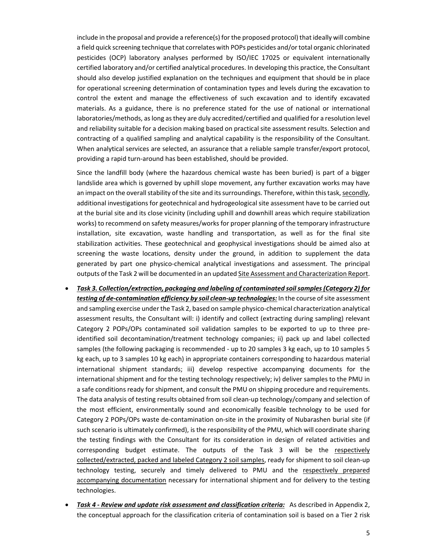include in the proposal and provide a reference(s) for the proposed protocol) that ideally will combine a field quick screening technique that correlates with POPs pesticides and/or total organic chlorinated pesticides (OCP) laboratory analyses performed by ISO/IEC 17025 or equivalent internationally certified laboratory and/or certified analytical procedures. In developing this practice, the Consultant should also develop justified explanation on the techniques and equipment that should be in place for operational screening determination of contamination types and levels during the excavation to control the extent and manage the effectiveness of such excavation and to identify excavated materials. As a guidance, there is no preference stated for the use of national or international laboratories/methods, aslong asthey are duly accredited/certified and qualified for a resolution level and reliability suitable for a decision making based on practical site assessment results. Selection and contracting of a qualified sampling and analytical capability is the responsibility of the Consultant. When analytical services are selected, an assurance that a reliable sample transfer/export protocol, providing a rapid turn‐around has been established, should be provided.

Since the landfill body (where the hazardous chemical waste has been buried) is part of a bigger landslide area which is governed by uphill slope movement, any further excavation works may have an impact on the overall stability of the site and its surroundings. Therefore, within this task, secondly, additional investigations for geotechnical and hydrogeological site assessment have to be carried out at the burial site and its close vicinity (including uphill and downhill areas which require stabilization works) to recommend on safety measures/works for proper planning of the temporary infrastructure installation, site excavation, waste handling and transportation, as well as for the final site stabilization activities. These geotechnical and geophysical investigations should be aimed also at screening the waste locations, density under the ground, in addition to supplement the data generated by part one physico-chemical analytical investigations and assessment. The principal outputs of the Task 2 will be documented in an updated Site Assessment and Characterization Report.

- *Task 3. Collection/extraction, packaging and labeling of contaminated soilsamples(Category 2) for testing* of *de-contamination efficiency by soil clean-up technologies:* In the course of site assessment and sampling exercise underthe Task 2, based on sample physico‐chemical characterization analytical assessment results, the Consultant will: i) identify and collect (extracting during sampling) relevant Category 2 POPs/OPs contaminated soil validation samples to be exported to up to three pre‐ identified soil decontamination/treatment technology companies; ii) pack up and label collected samples (the following packaging is recommended ‐ up to 20 samples 3 kg each, up to 10 samples 5 kg each, up to 3 samples 10 kg each) in appropriate containers corresponding to hazardous material international shipment standards; iii) develop respective accompanying documents for the international shipment and for the testing technology respectively; iv) deliver samples to the PMU in a safe conditions ready for shipment, and consult the PMU on shipping procedure and requirements. The data analysis of testing results obtained from soil clean‐up technology/company and selection of the most efficient, environmentally sound and economically feasible technology to be used for Category 2 POPs/OPs waste de‐contamination on‐site in the proximity of Nubarashen burial site (if such scenario is ultimately confirmed), is the responsibility of the PMU, which will coordinate sharing the testing findings with the Consultant for its consideration in design of related activities and corresponding budget estimate. The outputs of the Task 3 will be the respectively collected/extracted, packed and labeled Category 2 soil samples, ready for shipment to soil clean‐up technology testing, securely and timely delivered to PMU and the respectively prepared accompanying documentation necessary for international shipment and for delivery to the testing technologies.
- *Task 4 ‐ Review and update risk assessment and classification criteria:* As described in Appendix 2, the conceptual approach for the classification criteria of contamination soil is based on a Tier 2 risk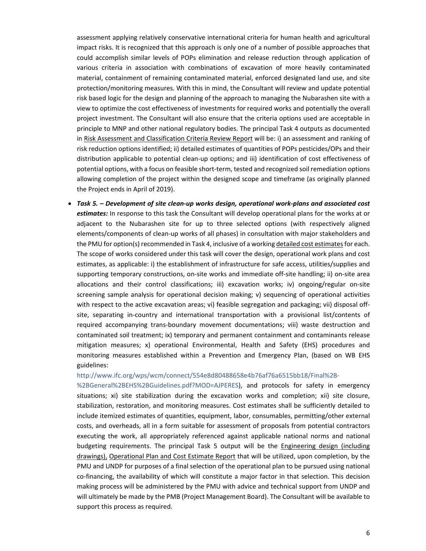assessment applying relatively conservative international criteria for human health and agricultural impact risks. It is recognized that this approach is only one of a number of possible approaches that could accomplish similar levels of POPs elimination and release reduction through application of various criteria in association with combinations of excavation of more heavily contaminated material, containment of remaining contaminated material, enforced designated land use, and site protection/monitoring measures. With this in mind, the Consultant will review and update potential risk based logic for the design and planning of the approach to managing the Nubarashen site with a view to optimize the cost effectiveness of investments for required works and potentially the overall project investment. The Consultant will also ensure that the criteria options used are acceptable in principle to MNP and other national regulatory bodies. The principal Task 4 outputs as documented in Risk Assessment and Classification Criteria Review Report will be: i) an assessment and ranking of risk reduction options identified; ii) detailed estimates of quantities of POPs pesticides/OPs and their distribution applicable to potential clean‐up options; and iii) identification of cost effectiveness of potential options, with a focus on feasible short-term, tested and recognized soil remediation options allowing completion of the project within the designed scope and timeframe (as originally planned the Project ends in April of 2019).

 *Task 5. – Development of site clean‐up works design, operational work‐plans and associated cost estimates:* In response to this task the Consultant will develop operational plans for the works at or adjacent to the Nubarashen site for up to three selected options (with respectively aligned elements/components of clean‐up works of all phases) in consultation with major stakeholders and the PMU for option(s) recommended in Task 4, inclusive of a working detailed cost estimates for each. The scope of works considered under this task will cover the design, operational work plans and cost estimates, as applicable: i) the establishment of infrastructure for safe access, utilities/supplies and supporting temporary constructions, on-site works and immediate off-site handling; ii) on-site area allocations and their control classifications; iii) excavation works; iv) ongoing/regular on‐site screening sample analysis for operational decision making; v) sequencing of operational activities with respect to the active excavation areas; vi) feasible segregation and packaging; vii) disposal off‐ site, separating in-country and international transportation with a provisional list/contents of required accompanying trans‐boundary movement documentations; viii) waste destruction and contaminated soil treatment; ix) temporary and permanent containment and contaminants release mitigation measures; x) operational Environmental, Health and Safety (EHS) procedures and monitoring measures established within a Prevention and Emergency Plan, (based on WB EHS guidelines:

#### http://www.ifc.org/wps/wcm/connect/554e8d80488658e4b76af76a6515bb18/Final%2B‐

%2BGeneral%2BEHS%2BGuidelines.pdf?MOD=AJPERES), and protocols for safety in emergency situations; xi) site stabilization during the excavation works and completion; xii) site closure, stabilization, restoration, and monitoring measures. Cost estimates shall be sufficiently detailed to include itemized estimates of quantities, equipment, labor, consumables, permitting/other external costs, and overheads, all in a form suitable for assessment of proposals from potential contractors executing the work, all appropriately referenced against applicable national norms and national budgeting requirements. The principal Task 5 output will be the Engineering design (including drawings), Operational Plan and Cost Estimate Report that will be utilized, upon completion, by the PMU and UNDP for purposes of a final selection of the operational plan to be pursued using national co-financing, the availability of which will constitute a major factor in that selection. This decision making process will be administered by the PMU with advice and technical support from UNDP and will ultimately be made by the PMB (Project Management Board). The Consultant will be available to support this process as required.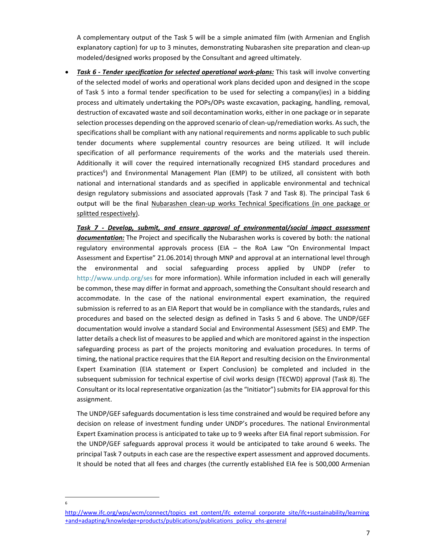A complementary output of the Task 5 will be a simple animated film (with Armenian and English explanatory caption) for up to 3 minutes, demonstrating Nubarashen site preparation and clean‐up modeled/designed works proposed by the Consultant and agreed ultimately.

 *Task 6 ‐ Tender specification for selected operational work‐plans:* This task will involve converting of the selected model of works and operational work plans decided upon and designed in the scope of Task 5 into a formal tender specification to be used for selecting a company(ies) in a bidding process and ultimately undertaking the POPs/OPs waste excavation, packaging, handling, removal, destruction of excavated waste and soil decontamination works, either in one package or in separate selection processes depending on the approved scenario of clean-up/remediation works. As such, the specifications shall be compliant with any national requirements and norms applicable to such public tender documents where supplemental country resources are being utilized. It will include specification of all performance requirements of the works and the materials used therein. Additionally it will cover the required internationally recognized EHS standard procedures and practices<sup>6</sup>) and Environmental Management Plan (EMP) to be utilized, all consistent with both national and international standards and as specified in applicable environmental and technical design regulatory submissions and associated approvals (Task 7 and Task 8). The principal Task 6 output will be the final Nubarashen clean‐up works Technical Specifications (in one package or splitted respectively).

*Task 7 ‐ Develop, submit, and ensure approval of environmental/social impact assessment documentation:* The Project and specifically the Nubarashen works is covered by both: the national regulatory environmental approvals process (EIA – the RoA Law "On Environmental Impact Assessment and Expertise" 21.06.2014) through MNP and approval at an international level through the environmental and social safeguarding process applied by UNDP (refer to http://www.undp.org/ses for more information). While information included in each will generally be common, these may differ in format and approach, something the Consultant should research and accommodate. In the case of the national environmental expert examination, the required submission is referred to as an EIA Report that would be in compliance with the standards, rules and procedures and based on the selected design as defined in Tasks 5 and 6 above. The UNDP/GEF documentation would involve a standard Social and Environmental Assessment (SES) and EMP. The latter details a check list of measuresto be applied and which are monitored against in the inspection safeguarding process as part of the projects monitoring and evaluation procedures. In terms of timing, the national practice requires that the EIA Report and resulting decision on the Environmental Expert Examination (EIA statement or Expert Conclusion) be completed and included in the subsequent submission for technical expertise of civil works design (TECWD) approval (Task 8). The Consultant or its local representative organization (as the "Initiator") submits for EIA approval for this assignment.

The UNDP/GEF safeguards documentation is less time constrained and would be required before any decision on release of investment funding under UNDP's procedures. The national Environmental Expert Examination process is anticipated to take up to 9 weeks after EIA final report submission. For the UNDP/GEF safeguards approval process it would be anticipated to take around 6 weeks. The principal Task 7 outputs in each case are the respective expert assessment and approved documents. It should be noted that all fees and charges (the currently established EIA fee is 500,000 Armenian

http://www.ifc.org/wps/wcm/connect/topics\_ext\_content/ifc\_external\_corporate\_site/ifc+sustainability/learning +and+adapting/knowledge+products/publications/publications\_policy\_ehs-general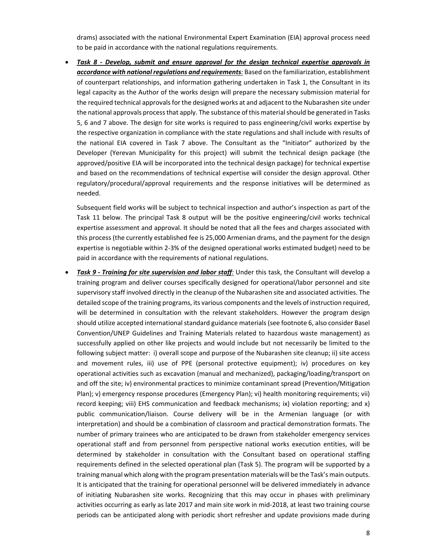drams) associated with the national Environmental Expert Examination (EIA) approval process need to be paid in accordance with the national regulations requirements.

 *Task 8 ‐ Develop, submit and ensure approval for the design technical expertise approvals in accordance with national regulations and requirements:* Based on the familiarization, establishment of counterpart relationships, and information gathering undertaken in Task 1, the Consultant in its legal capacity as the Author of the works design will prepare the necessary submission material for the required technical approvals for the designed works at and adjacent to the Nubarashen site under the national approvals process that apply. The substance of this material should be generated in Tasks 5, 6 and 7 above. The design for site works is required to pass engineering/civil works expertise by the respective organization in compliance with the state regulations and shall include with results of the national EIA covered in Task 7 above. The Consultant as the "Initiator" authorized by the Developer (Yerevan Municipality for this project) will submit the technical design package (the approved/positive EIA will be incorporated into the technical design package) for technical expertise and based on the recommendations of technical expertise will consider the design approval. Other regulatory/procedural/approval requirements and the response initiatives will be determined as needed.

Subsequent field works will be subject to technical inspection and author's inspection as part of the Task 11 below. The principal Task 8 output will be the positive engineering/civil works technical expertise assessment and approval. It should be noted that all the fees and charges associated with this process (the currently established fee is 25,000 Armenian drams, and the payment for the design expertise is negotiable within 2‐3% of the designed operational works estimated budget) need to be paid in accordance with the requirements of national regulations.

 *Task 9 ‐ Training for site supervision and labor staff:* Under this task, the Consultant will develop a training program and deliver courses specifically designed for operational/labor personnel and site supervisory staff involved directly in the cleanup of the Nubarashen site and associated activities. The detailed scope of the training programs, its various components and the levels of instruction required, will be determined in consultation with the relevant stakeholders. However the program design should utilize accepted international standard guidance materials (see footnote 6, also consider Basel Convention/UNEP Guidelines and Training Materials related to hazardous waste management) as successfully applied on other like projects and would include but not necessarily be limited to the following subject matter: i) overall scope and purpose of the Nubarashen site cleanup; ii) site access and movement rules, iii) use of PPE (personal protective equipment); iv) procedures on key operational activities such as excavation (manual and mechanized), packaging/loading/transport on and off the site; iv) environmental practices to minimize contaminant spread (Prevention/Mitigation Plan); v) emergency response procedures (Emergency Plan); vi) health monitoring requirements; vii) record keeping; viii) EHS communication and feedback mechanisms; ix) violation reporting; and x) public communication/liaison. Course delivery will be in the Armenian language (or with interpretation) and should be a combination of classroom and practical demonstration formats. The number of primary trainees who are anticipated to be drawn from stakeholder emergency services operational staff and from personnel from perspective national works execution entities, will be determined by stakeholder in consultation with the Consultant based on operational staffing requirements defined in the selected operational plan (Task 5). The program will be supported by a training manual which along with the program presentation materials will be the Task's main outputs. It is anticipated that the training for operational personnel will be delivered immediately in advance of initiating Nubarashen site works. Recognizing that this may occur in phases with preliminary activities occurring as early as late 2017 and main site work in mid‐2018, at least two training course periods can be anticipated along with periodic short refresher and update provisions made during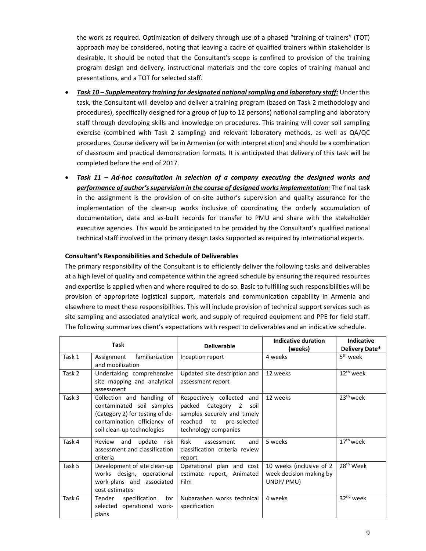the work as required. Optimization of delivery through use of a phased "training of trainers" (TOT) approach may be considered, noting that leaving a cadre of qualified trainers within stakeholder is desirable. It should be noted that the Consultant's scope is confined to provision of the training program design and delivery, instructional materials and the core copies of training manual and presentations, and a TOT for selected staff.

- *Task 10 – Supplementary training for designated nationalsampling and laboratory staff:* Under this task, the Consultant will develop and deliver a training program (based on Task 2 methodology and procedures), specifically designed for a group of (up to 12 persons) national sampling and laboratory staff through developing skills and knowledge on procedures. This training will cover soil sampling exercise (combined with Task 2 sampling) and relevant laboratory methods, as well as QA/QC procedures. Course delivery will be in Armenian (or with interpretation) and should be a combination of classroom and practical demonstration formats. It is anticipated that delivery of this task will be completed before the end of 2017.
- *Task 11 – Ad‐hoc consultation in selection of a company executing the designed works and performance of author'ssupervision in the course of designed works implementation:* The final task in the assignment is the provision of on‐site author's supervision and quality assurance for the implementation of the clean-up works inclusive of coordinating the orderly accumulation of documentation, data and as‐built records for transfer to PMU and share with the stakeholder executive agencies. This would be anticipated to be provided by the Consultant's qualified national technical staff involved in the primary design tasks supported as required by international experts.

### **Consultant's Responsibilities and Schedule of Deliverables**

The primary responsibility of the Consultant is to efficiently deliver the following tasks and deliverables at a high level of quality and competence within the agreed schedule by ensuring the required resources and expertise is applied when and where required to do so. Basic to fulfilling such responsibilities will be provision of appropriate logistical support, materials and communication capability in Armenia and elsewhere to meet these responsibilities. This will include provision of technical support services such as site sampling and associated analytical work, and supply of required equipment and PPE for field staff. The following summarizes client's expectations with respect to deliverables and an indicative schedule.

| <b>Task</b> |                                 | <b>Deliverable</b>               | Indicative duration      | <b>Indicative</b>     |
|-------------|---------------------------------|----------------------------------|--------------------------|-----------------------|
|             |                                 |                                  | (weeks)                  | Delivery Date*        |
| Task 1      | Assignment familiarization      | Inception report                 | 4 weeks                  | 5 <sup>th</sup> week  |
|             | and mobilization                |                                  |                          |                       |
| Task 2      | Undertaking comprehensive       | Updated site description and     | 12 weeks                 | $12^{th}$ week        |
|             | site mapping and analytical     | assessment report                |                          |                       |
|             | assessment                      |                                  |                          |                       |
| Task 3      | Collection and handling of      | Respectively collected and       | 12 weeks                 | 23 <sup>th</sup> week |
|             | contaminated soil samples       | packed Category 2<br>soil        |                          |                       |
|             | (Category 2) for testing of de- | samples securely and timely      |                          |                       |
|             | contamination efficiency of     | reached<br>to<br>pre-selected    |                          |                       |
|             | soil clean-up technologies      | technology companies             |                          |                       |
| Task 4      | Review and update risk          | <b>Risk</b><br>and<br>assessment | 5 weeks                  | $17th$ week           |
|             | assessment and classification   | classification criteria review   |                          |                       |
|             | criteria                        | report                           |                          |                       |
| Task 5      | Development of site clean-up    | Operational plan and cost        | 10 weeks (inclusive of 2 | 28 <sup>th</sup> Week |
|             | works design, operational       | estimate report, Animated        | week decision making by  |                       |
|             | work-plans and associated       | <b>Film</b>                      | UNDP/PMU)                |                       |
|             | cost estimates                  |                                  |                          |                       |
| Task 6      | Tender<br>specification<br>for  | Nubarashen works technical       | 4 weeks                  | 32 <sup>nd</sup> week |
|             | selected operational work-      | specification                    |                          |                       |
|             | plans                           |                                  |                          |                       |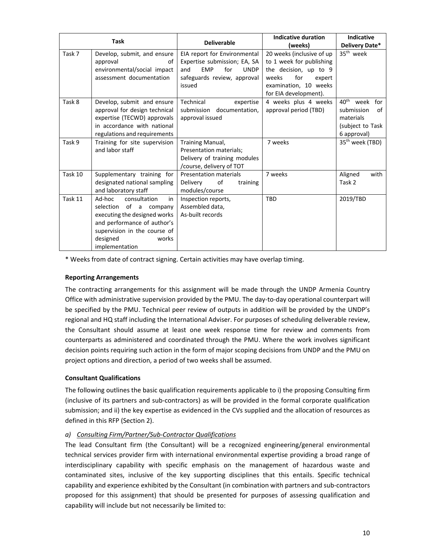| <b>Task</b> |                                                                                                                                                                                              | <b>Deliverable</b>                                                                                                                               | Indicative duration<br>(weeks)                                                                                                                             | <b>Indicative</b><br>Delivery Date*                                                              |
|-------------|----------------------------------------------------------------------------------------------------------------------------------------------------------------------------------------------|--------------------------------------------------------------------------------------------------------------------------------------------------|------------------------------------------------------------------------------------------------------------------------------------------------------------|--------------------------------------------------------------------------------------------------|
| Task 7      | Develop, submit, and ensure<br>approval<br>οf<br>environmental/social impact<br>assessment documentation                                                                                     | EIA report for Environmental<br>Expertise submission; EA, SA<br>and<br><b>EMP</b><br>for<br><b>UNDP</b><br>safeguards review, approval<br>issued | 20 weeks (inclusive of up<br>to 1 week for publishing<br>the decision, up to 9<br>for<br>weeks<br>expert<br>examination, 10 weeks<br>for EIA development). | 35 <sup>th</sup> week                                                                            |
| Task 8      | Develop, submit and ensure<br>approval for design technical<br>expertise (TECWD) approvals<br>in accordance with national<br>regulations and requirements                                    | Technical<br>expertise<br>submission documentation,<br>approval issued                                                                           | 4 weeks plus 4 weeks<br>approval period (TBD)                                                                                                              | $40^{\text{th}}$<br>week for<br>submission<br>of<br>materials<br>(subject to Task<br>6 approval) |
| Task 9      | Training for site supervision<br>and labor staff                                                                                                                                             | Training Manual,<br>Presentation materials;<br>Delivery of training modules<br>/course, delivery of TOT                                          | 7 weeks                                                                                                                                                    | 35 <sup>th</sup> week (TBD)                                                                      |
| Task 10     | Supplementary training for<br>designated national sampling<br>and laboratory staff                                                                                                           | <b>Presentation materials</b><br>Delivery<br>of<br>training<br>modules/course                                                                    | 7 weeks                                                                                                                                                    | Aligned<br>with<br>Task 2                                                                        |
| Task 11     | Ad-hoc<br>consultation<br>in<br>selection of a company<br>executing the designed works<br>and performance of author's<br>supervision in the course of<br>designed<br>works<br>implementation | Inspection reports,<br>Assembled data,<br>As-built records                                                                                       | TBD                                                                                                                                                        | 2019/TBD                                                                                         |

\* Weeks from date of contract signing. Certain activities may have overlap timing.

## **Reporting Arrangements**

The contracting arrangements for this assignment will be made through the UNDP Armenia Country Office with administrative supervision provided by the PMU. The day‐to‐day operational counterpart will be specified by the PMU. Technical peer review of outputs in addition will be provided by the UNDP's regional and HQ staff including the International Adviser. For purposes of scheduling deliverable review, the Consultant should assume at least one week response time for review and comments from counterparts as administered and coordinated through the PMU. Where the work involves significant decision points requiring such action in the form of major scoping decisions from UNDP and the PMU on project options and direction, a period of two weeks shall be assumed.

# **Consultant Qualifications**

The following outlines the basic qualification requirements applicable to i) the proposing Consulting firm (inclusive of its partners and sub‐contractors) as will be provided in the formal corporate qualification submission; and ii) the key expertise as evidenced in the CVs supplied and the allocation of resources as defined in this RFP (Section 2).

# *a) Consulting Firm/Partner/Sub‐Contractor Qualifications*

The lead Consultant firm (the Consultant) will be a recognized engineering/general environmental technical services provider firm with international environmental expertise providing a broad range of interdisciplinary capability with specific emphasis on the management of hazardous waste and contaminated sites, inclusive of the key supporting disciplines that this entails. Specific technical capability and experience exhibited by the Consultant (in combination with partners and sub‐contractors proposed for this assignment) that should be presented for purposes of assessing qualification and capability will include but not necessarily be limited to: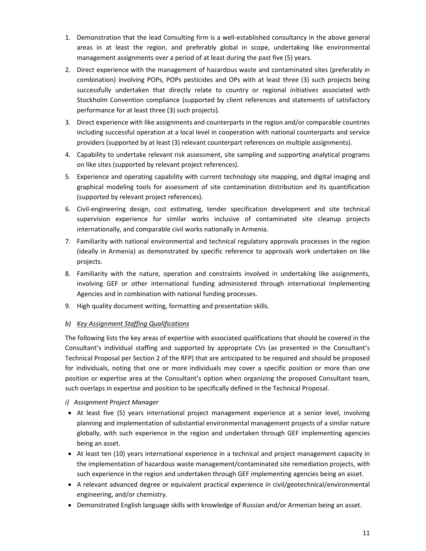- 1. Demonstration that the lead Consulting firm is a well‐established consultancy in the above general areas in at least the region, and preferably global in scope, undertaking like environmental management assignments over a period of at least during the past five (5) years.
- 2. Direct experience with the management of hazardous waste and contaminated sites (preferably in combination) involving POPs, POPs pesticides and OPs with at least three (3) such projects being successfully undertaken that directly relate to country or regional initiatives associated with Stockholm Convention compliance (supported by client references and statements of satisfactory performance for at least three (3) such projects).
- 3. Direct experience with like assignments and counterparts in the region and/or comparable countries including successful operation at a local level in cooperation with national counterparts and service providers (supported by at least (3) relevant counterpart references on multiple assignments).
- 4. Capability to undertake relevant risk assessment, site sampling and supporting analytical programs on like sites (supported by relevant project references).
- 5. Experience and operating capability with current technology site mapping, and digital imaging and graphical modeling tools for assessment of site contamination distribution and its quantification (supported by relevant project references).
- 6. Civil‐engineering design, cost estimating, tender specification development and site technical supervision experience for similar works inclusive of contaminated site cleanup projects internationally, and comparable civil works nationally in Armenia.
- 7. Familiarity with national environmental and technical regulatory approvals processes in the region (ideally in Armenia) as demonstrated by specific reference to approvals work undertaken on like projects.
- 8. Familiarity with the nature, operation and constraints involved in undertaking like assignments, involving GEF or other international funding administered through international Implementing Agencies and in combination with national funding processes.
- 9. High quality document writing, formatting and presentation skills.

# *b) Key Assignment Staffing Qualifications*

The following lists the key areas of expertise with associated qualifications that should be covered in the Consultant's individual staffing and supported by appropriate CVs (as presented in the Consultant's Technical Proposal per Section 2 of the RFP) that are anticipated to be required and should be proposed for individuals, noting that one or more individuals may cover a specific position or more than one position or expertise area at the Consultant's option when organizing the proposed Consultant team, such overlaps in expertise and position to be specifically defined in the Technical Proposal.

# *i) Assignment Project Manager*

- At least five (5) years international project management experience at a senior level, involving planning and implementation of substantial environmental management projects of a similar nature globally, with such experience in the region and undertaken through GEF implementing agencies being an asset.
- At least ten (10) years international experience in a technical and project management capacity in the implementation of hazardous waste management/contaminated site remediation projects, with such experience in the region and undertaken through GEF implementing agencies being an asset.
- A relevant advanced degree or equivalent practical experience in civil/geotechnical/environmental engineering, and/or chemistry.
- Demonstrated English language skills with knowledge of Russian and/or Armenian being an asset.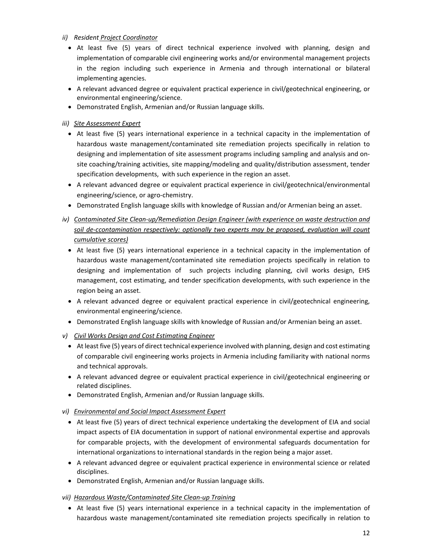- *ii) Resident Project Coordinator*
	- At least five (5) years of direct technical experience involved with planning, design and implementation of comparable civil engineering works and/or environmental management projects in the region including such experience in Armenia and through international or bilateral implementing agencies.
	- A relevant advanced degree or equivalent practical experience in civil/geotechnical engineering, or environmental engineering/science.
	- Demonstrated English, Armenian and/or Russian language skills.

*iii) Site Assessment Expert* 

- At least five (5) years international experience in a technical capacity in the implementation of hazardous waste management/contaminated site remediation projects specifically in relation to designing and implementation of site assessment programs including sampling and analysis and on‐ site coaching/training activities, site mapping/modeling and quality/distribution assessment, tender specification developments, with such experience in the region an asset.
- A relevant advanced degree or equivalent practical experience in civil/geotechnical/environmental engineering/science, or agro‐chemistry.
- Demonstrated English language skills with knowledge of Russian and/or Armenian being an asset.
- *iv) Contaminated Site Clean‐up/Remediation Design Engineer (with experience on waste destruction and soil de‐ccontamination respectively: optionally two experts may be proposed, evaluation will count cumulative scores)* 
	- At least five (5) years international experience in a technical capacity in the implementation of hazardous waste management/contaminated site remediation projects specifically in relation to designing and implementation of such projects including planning, civil works design, EHS management, cost estimating, and tender specification developments, with such experience in the region being an asset.
	- A relevant advanced degree or equivalent practical experience in civil/geotechnical engineering, environmental engineering/science.
	- Demonstrated English language skills with knowledge of Russian and/or Armenian being an asset.
- *v) Civil Works Design and Cost Estimating Engineer*
	- At least five (5) years of direct technical experience involved with planning, design and cost estimating of comparable civil engineering works projects in Armenia including familiarity with national norms and technical approvals.
	- A relevant advanced degree or equivalent practical experience in civil/geotechnical engineering or related disciplines.
	- Demonstrated English, Armenian and/or Russian language skills.
- *vi) Environmental and Social Impact Assessment Expert* 
	- At least five (5) years of direct technical experience undertaking the development of EIA and social impact aspects of EIA documentation in support of national environmental expertise and approvals for comparable projects, with the development of environmental safeguards documentation for international organizations to international standards in the region being a major asset.
	- A relevant advanced degree or equivalent practical experience in environmental science or related disciplines.
	- Demonstrated English, Armenian and/or Russian language skills.
- *vii) Hazardous Waste/Contaminated Site Clean‐up Training*
	- At least five (5) years international experience in a technical capacity in the implementation of hazardous waste management/contaminated site remediation projects specifically in relation to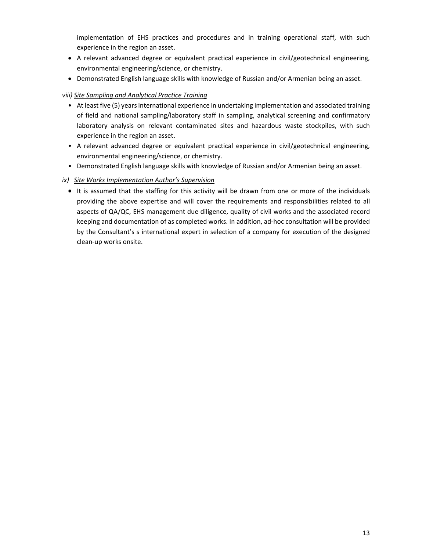implementation of EHS practices and procedures and in training operational staff, with such experience in the region an asset.

- A relevant advanced degree or equivalent practical experience in civil/geotechnical engineering, environmental engineering/science, or chemistry.
- Demonstrated English language skills with knowledge of Russian and/or Armenian being an asset.

# *viii) Site Sampling and Analytical Practice Training*

- At least five (5) years international experience in undertaking implementation and associated training of field and national sampling/laboratory staff in sampling, analytical screening and confirmatory laboratory analysis on relevant contaminated sites and hazardous waste stockpiles, with such experience in the region an asset.
- A relevant advanced degree or equivalent practical experience in civil/geotechnical engineering, environmental engineering/science, or chemistry.
- Demonstrated English language skills with knowledge of Russian and/or Armenian being an asset.
- *ix) Site Works Implementation Author's Supervision* 
	- It is assumed that the staffing for this activity will be drawn from one or more of the individuals providing the above expertise and will cover the requirements and responsibilities related to all aspects of QA/QC, EHS management due diligence, quality of civil works and the associated record keeping and documentation of as completed works. In addition, ad‐hoc consultation will be provided by the Consultant's s international expert in selection of a company for execution of the designed clean‐up works onsite.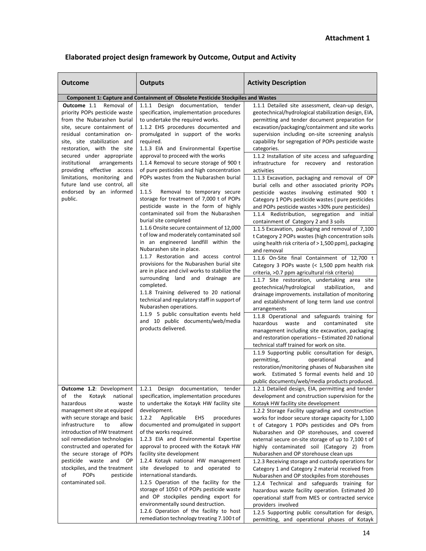| <b>Outcome</b>                                                                                                                                                                                                                                                                                                                                                                                                       | <b>Outputs</b>                                                                                                                                                                                                                                                                                                                                                                                                                                                                                                                                                                                                                                                                                                                                                                                                                                                                                                                                                                                                                                                                                                                                                                                                                                                                                                        | <b>Activity Description</b>                                                                                                                                                                                                                                                                                                                                                                                                                                                                                                                                                                                                                                                                                                                                                                                                                                                                                                                                                                                                                                                                                                                                                                                                                                                                                                                                                                                                                                                                                                                                                                                                                                                                                                                                                                                                               |
|----------------------------------------------------------------------------------------------------------------------------------------------------------------------------------------------------------------------------------------------------------------------------------------------------------------------------------------------------------------------------------------------------------------------|-----------------------------------------------------------------------------------------------------------------------------------------------------------------------------------------------------------------------------------------------------------------------------------------------------------------------------------------------------------------------------------------------------------------------------------------------------------------------------------------------------------------------------------------------------------------------------------------------------------------------------------------------------------------------------------------------------------------------------------------------------------------------------------------------------------------------------------------------------------------------------------------------------------------------------------------------------------------------------------------------------------------------------------------------------------------------------------------------------------------------------------------------------------------------------------------------------------------------------------------------------------------------------------------------------------------------|-------------------------------------------------------------------------------------------------------------------------------------------------------------------------------------------------------------------------------------------------------------------------------------------------------------------------------------------------------------------------------------------------------------------------------------------------------------------------------------------------------------------------------------------------------------------------------------------------------------------------------------------------------------------------------------------------------------------------------------------------------------------------------------------------------------------------------------------------------------------------------------------------------------------------------------------------------------------------------------------------------------------------------------------------------------------------------------------------------------------------------------------------------------------------------------------------------------------------------------------------------------------------------------------------------------------------------------------------------------------------------------------------------------------------------------------------------------------------------------------------------------------------------------------------------------------------------------------------------------------------------------------------------------------------------------------------------------------------------------------------------------------------------------------------------------------------------------------|
|                                                                                                                                                                                                                                                                                                                                                                                                                      |                                                                                                                                                                                                                                                                                                                                                                                                                                                                                                                                                                                                                                                                                                                                                                                                                                                                                                                                                                                                                                                                                                                                                                                                                                                                                                                       |                                                                                                                                                                                                                                                                                                                                                                                                                                                                                                                                                                                                                                                                                                                                                                                                                                                                                                                                                                                                                                                                                                                                                                                                                                                                                                                                                                                                                                                                                                                                                                                                                                                                                                                                                                                                                                           |
| Outcome 1.1<br>Removal of<br>priority POPs pesticide waste<br>from the Nubarashen burial<br>site, secure containment of<br>residual contamination on-<br>site, site stabilization and<br>restoration, with the site<br>secured under appropriate<br>institutional<br>arrangements<br>providing effective access<br>limitations, monitoring and<br>future land use control, all<br>endorsed by an informed<br>public. | <b>Component 1: Capture and Containment of Obsolete Pesticide Stockpiles and Wastes</b><br>1.1.1 Design documentation, tender<br>specification, implementation procedures<br>to undertake the required works.<br>1.1.2 EHS procedures documented and<br>promulgated in support of the works<br>required.<br>1.1.3 EIA and Environmental Expertise<br>approval to proceed with the works<br>1.1.4 Removal to secure storage of 900 t<br>of pure pesticides and high concentration<br>POPs wastes from the Nubarashen burial<br>site<br>1.1.5<br>Removal to temporary secure<br>storage for treatment of 7,000 t of POPs<br>pesticide waste in the form of highly<br>contaminated soil from the Nubarashen<br>burial site completed<br>1.1.6 Onsite secure containment of 12,000<br>t of low and moderately contaminated soil<br>in an engineered landfill within the<br>Nubarashen site in place.<br>1.1.7 Restoration and access control<br>provisions for the Nubarashen burial site<br>are in place and civil works to stabilize the<br>surrounding land and drainage are<br>completed.<br>1.1.8 Training delivered to 20 national<br>technical and regulatory staff in support of<br>Nubarashen operations.<br>1.1.9 5 public consultation events held<br>and 10 public documents/web/media<br>products delivered. | 1.1.1 Detailed site assessment, clean-up design,<br>geotechnical/hydrological stabilization design, EIA,<br>permitting and tender document preparation for<br>excavation/packaging/containment and site works<br>supervision including on-site screening analysis<br>capability for segregation of POPs pesticide waste<br>categories.<br>1.1.2 Installation of site access and safeguarding<br>infrastructure for recovery and restoration<br>activities<br>1.1.3 Excavation, packaging and removal of OP<br>burial cells and other associated priority POPs<br>pesticide wastes involving estimated 900 t<br>Category 1 POPs pesticide wastes (pure pesticides<br>and POPs pesticide wastes >30% pure pesticides)<br>1.1.4 Redistribution, segregation and initial<br>containment of Category 2 and 3 soils<br>1.1.5 Excavation, packaging and removal of 7,100<br>t Category 2 POPs wastes (high concentration soils<br>using health risk criteria of > 1,500 ppm), packaging<br>and removal<br>1.1.6 On-Site final Containment of 12,700 t<br>Category 3 POPs waste (< 1,500 ppm health risk<br>criteria, >0.7 ppm agricultural risk criteria)<br>1.1.7 Site restoration, undertaking area site<br>geotechnical/hydrological<br>stabilization,<br>and<br>drainage improvements. installation of monitoring<br>and establishment of long term land use control<br>arrangements<br>1.1.8 Operational and safeguards training for<br>hazardous<br>waste<br>and<br>contaminated<br>site<br>management including site excavation, packaging<br>and restoration operations - Estimated 20 national<br>technical staff trained for work on site.<br>1.1.9 Supporting public consultation for design,<br>permitting,<br>operational<br>and<br>restoration/monitoring phases of Nubarashen site<br>work. Estimated 5 formal events held and 10 |
| <b>Outcome 1.2: Development</b><br>Kotayk<br>national<br>of<br>the<br>hazardous<br>waste                                                                                                                                                                                                                                                                                                                             | 1.2.1 Design documentation, tender<br>specification, implementation procedures                                                                                                                                                                                                                                                                                                                                                                                                                                                                                                                                                                                                                                                                                                                                                                                                                                                                                                                                                                                                                                                                                                                                                                                                                                        | public documents/web/media products produced.<br>1.2.1 Detailed design, EIA, permitting and tender<br>development and construction supervision for the                                                                                                                                                                                                                                                                                                                                                                                                                                                                                                                                                                                                                                                                                                                                                                                                                                                                                                                                                                                                                                                                                                                                                                                                                                                                                                                                                                                                                                                                                                                                                                                                                                                                                    |
| management site at equipped<br>with secure storage and basic<br>infrastructure<br>to<br>allow<br>introduction of HW treatment<br>soil remediation technologies<br>constructed and operated for<br>the secure storage of POPs<br>pesticide waste and OP<br>stockpiles, and the treatment<br>of<br><b>POPS</b><br>pesticide<br>contaminated soil.                                                                      | to undertake the Kotayk HW facility site<br>development.<br>1.2.2<br>EHS<br>Applicable<br>procedures<br>documented and promulgated in support<br>of the works required.<br>1.2.3 EIA and Environmental Expertise<br>approval to proceed with the Kotayk HW<br>facility site development<br>1.2.4 Kotayk national HW management<br>site developed to and operated to<br>international standards.<br>1.2.5 Operation of the facility for the<br>storage of 1050 t of POPs pesticide waste<br>and OP stockpiles pending export for<br>environmentally sound destruction.<br>1.2.6 Operation of the facility to host<br>remediation technology treating 7.100 t of                                                                                                                                                                                                                                                                                                                                                                                                                                                                                                                                                                                                                                                        | Kotayk HW facility site development<br>1.2.2 Storage Facility upgrading and construction<br>works for indoor secure storage capacity for 1,100<br>t of Category 1 POPs pesticides and OPs from<br>Nubarashen and OP storehouses, and covered<br>external secure on-site storage of up to 7,100 t of<br>highly contaminated soil (Category 2) from<br>Nubarashen and OP storehouse clean ups<br>1.2.3 Receiving storage and custody operations for<br>Category 1 and Category 2 material received from<br>Nubarashen and OP stockpiles from storehouses<br>1.2.4 Technical and safeguards training for<br>hazardous waste facility operation. Estimated 20<br>operational staff from MES or contracted service<br>providers involved<br>1.2.5 Supporting public consultation for design,<br>permitting, and operational phases of Kotayk                                                                                                                                                                                                                                                                                                                                                                                                                                                                                                                                                                                                                                                                                                                                                                                                                                                                                                                                                                                                   |

 $\mathsf{l}$ 

# **Elaborated project design framework by Outcome, Output and Activity**

permitting, and operational phases of Kotayk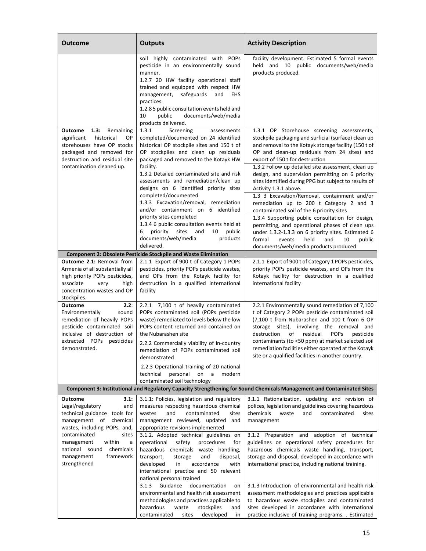| <b>Outcome</b>                                                                                                                                                                          | <b>Outputs</b>                                                                                                                                                                                                                                                                                                                                 | <b>Activity Description</b>                                                                                                                                                                                                                                                                                         |
|-----------------------------------------------------------------------------------------------------------------------------------------------------------------------------------------|------------------------------------------------------------------------------------------------------------------------------------------------------------------------------------------------------------------------------------------------------------------------------------------------------------------------------------------------|---------------------------------------------------------------------------------------------------------------------------------------------------------------------------------------------------------------------------------------------------------------------------------------------------------------------|
|                                                                                                                                                                                         | soil highly contaminated with POPs<br>pesticide in an environmentally sound<br>manner.<br>1.2.7 20 HW facility operational staff<br>trained and equipped with respect HW<br>safeguards<br>and<br>EHS<br>management,<br>practices.<br>1.2.8 5 public consultation events held and<br>10<br>public<br>documents/web/media<br>products delivered. | facility development. Estimated 5 formal events<br>held and 10 public documents/web/media<br>products produced.                                                                                                                                                                                                     |
| Outcome<br>1.3:<br>Remaining<br>significant<br>historical<br>OP<br>storehouses have OP stocks<br>packaged and removed for<br>destruction and residual site<br>contamination cleaned up. | 1.3.1<br>Screening<br>assessments<br>completed/documented on 24 identified<br>historical OP stockpile sites and 150 t of<br>OP stockpiles and clean up residuals<br>packaged and removed to the Kotayk HW<br>facility.<br>1.3.2 Detailed contaminated site and risk                                                                            | 1.3.1 OP Storehouse screening assessments,<br>stockpile packaging and surficial (surface) clean up<br>and removal to the Kotayk storage facility (150 t of<br>OP and clean-up residuals from 24 sites) and<br>export of 150 t for destruction<br>1.3.2 Follow up detailed site assessment, clean up                 |
|                                                                                                                                                                                         | assessments and remediation/clean up<br>designs on 6 identified priority sites<br>completed/documented<br>1.3.3 Excavation/removal, remediation                                                                                                                                                                                                | design, and supervision permitting on 6 priority<br>sites identified during PPG but subject to results of<br>Activity 1.3.1 above.<br>1.3 3 Excavation/Removal, containment and/or<br>remediation up to 200 t Category 2 and 3                                                                                      |
|                                                                                                                                                                                         | and/or containment on 6 identified<br>priority sites completed<br>1.3.4 6 public consultation events held at<br>priority<br>sites<br>public<br>6<br>and<br>10<br>documents/web/media<br>products<br>delivered.                                                                                                                                 | contaminated soil of the 6 priority sites<br>1.3.4 Supporting public consultation for design,<br>permitting, and operational phases of clean ups<br>under 1.3.2-1.3.3 on 6 priority sites. Estimated 6<br>10<br>formal<br>events<br>held<br>and<br>public<br>documents/web/media products produced                  |
|                                                                                                                                                                                         | <b>Component 2: Obsolete Pesticide Stockpile and Waste Elimination</b>                                                                                                                                                                                                                                                                         |                                                                                                                                                                                                                                                                                                                     |
| Outcome 2.1: Removal from<br>Armenia of all substantially all<br>high priority POPs pesticides,<br>associate<br>very<br>high<br>concentration wastes and OP<br>stockpiles.              | 2.1.1 Export of 900 t of Category 1 POPs<br>pesticides, priority POPs pesticide wastes,<br>and OPs from the Kotayk facility for<br>destruction in a qualified international<br>facility                                                                                                                                                        | 2.1.1 Export of 900 t of Category 1 POPs pesticides,<br>priority POPs pesticide wastes, and OPs from the<br>Kotayk facility for destruction in a qualified<br>international facility                                                                                                                                |
| 2.2:<br><b>Outcome</b><br>Environmentally<br>sound<br>remediation of heavily POPs<br>pesticide contaminated soil<br>inclusive of destruction of<br>extracted POPs pesticides            | 2.2.1 7,100 t of heavily contaminated<br>POPs contaminated soil (POPs pesticide<br>waste) remediated to levels below the low<br>POPs content returned and contained on<br>the Nubarashen site<br>2.2.2 Commercially viability of in-country                                                                                                    | 2.2.1 Environmentally sound remediation of 7,100<br>t of Category 2 POPs pesticide contaminated soil<br>(7,100 t from Nubarashen and 100 t from 6 OP<br>storage sites), involving the removal and<br>residual<br>destruction<br>of<br><b>POPS</b><br>pesticide<br>contaminants (to <50 ppm) at market selected soil |
| demonstrated.                                                                                                                                                                           | remediation of POPs contaminated soil<br>demonstrated<br>2.2.3 Operational training of 20 national                                                                                                                                                                                                                                             | remediation facilities either operated at the Kotayk<br>site or a qualified facilities in another country.                                                                                                                                                                                                          |
|                                                                                                                                                                                         | technical<br>personal on a<br>modern<br>contaminated soil technology                                                                                                                                                                                                                                                                           | Component 3: Institutional and Regulatory Capacity Strengthening for Sound Chemicals Management and Contaminated Sites                                                                                                                                                                                              |
| <b>Outcome</b><br>3.1:                                                                                                                                                                  | 3.1.1: Policies, legislation and regulatory                                                                                                                                                                                                                                                                                                    | 3.1.1 Rationalization, updating and revision of                                                                                                                                                                                                                                                                     |
| Legal/regulatory<br>and<br>technical guidance tools for<br>management of chemical<br>wastes, including POPs, and,                                                                       | measures respecting hazardous chemical<br>wastes<br>and<br>contaminated<br>sites<br>management reviewed, updated and<br>appropriate revisions implemented                                                                                                                                                                                      | polices, legislation and guidelines covering hazardous<br>chemicals<br>waste<br>and<br>contaminated<br>sites<br>management                                                                                                                                                                                          |
| contaminated<br>sites<br>management<br>within<br>а<br>chemicals<br>national sound<br>framework<br>management<br>strengthened                                                            | 3.1.2. Adopted technical guidelines on<br>safety<br>procedures<br>operational<br>tor<br>hazardous chemicals waste handling,<br>and<br>disposal,<br>transport,<br>storage<br>developed<br>accordance<br>in<br>with<br>international practice and 50 relevant<br>national personal trained                                                       | 3.1.2 Preparation and adoption of technical<br>guidelines on operational safety procedures for<br>hazardous chemicals waste handling, transport,<br>storage and disposal, developed in accordance with<br>international practice, including national training.                                                      |
|                                                                                                                                                                                         | documentation<br>3.1.3<br>Guidance<br>on<br>environmental and health risk assessment<br>methodologies and practices applicable to<br>hazardous<br>waste<br>stockpiles<br>and<br>contaminated<br>developed<br>sites<br>in                                                                                                                       | 3.1.3 Introduction of environmental and health risk<br>assessment methodologies and practices applicable<br>to hazardous waste stockpiles and contaminated<br>sites developed in accordance with international<br>practice inclusive of training programs. . Estimated                                              |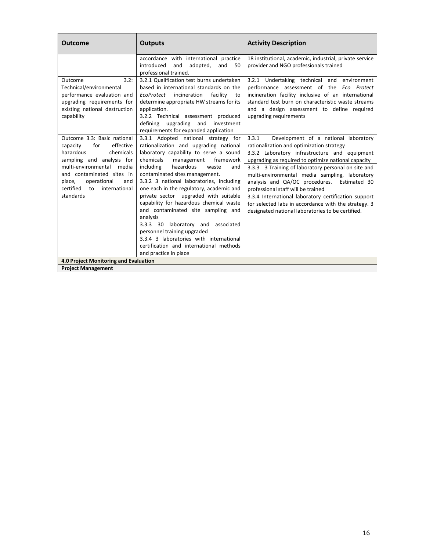| Outcome                                                                                                                                                                                                                                                    | <b>Outputs</b>                                                                                                                                                                                                                                                                                                                                                                                                                                                                                                                                                                                                                                                | <b>Activity Description</b>                                                                                                                                                                                                                                                                                                                                                                                                                                                                                                                                              |
|------------------------------------------------------------------------------------------------------------------------------------------------------------------------------------------------------------------------------------------------------------|---------------------------------------------------------------------------------------------------------------------------------------------------------------------------------------------------------------------------------------------------------------------------------------------------------------------------------------------------------------------------------------------------------------------------------------------------------------------------------------------------------------------------------------------------------------------------------------------------------------------------------------------------------------|--------------------------------------------------------------------------------------------------------------------------------------------------------------------------------------------------------------------------------------------------------------------------------------------------------------------------------------------------------------------------------------------------------------------------------------------------------------------------------------------------------------------------------------------------------------------------|
|                                                                                                                                                                                                                                                            | accordance with international practice<br>introduced<br>and<br>adopted,<br>and<br>50<br>professional trained.                                                                                                                                                                                                                                                                                                                                                                                                                                                                                                                                                 | 18 institutional, academic, industrial, private service<br>provider and NGO professionals trained                                                                                                                                                                                                                                                                                                                                                                                                                                                                        |
| 3.2:<br>Outcome<br>Technical/environmental<br>performance evaluation and<br>upgrading requirements for<br>existing national destruction<br>capability                                                                                                      | 3.2.1 Qualification test burns undertaken<br>based in international standards on the<br>incineration<br>facility<br>EcoProtect<br>to<br>determine appropriate HW streams for its<br>application.<br>3.2.2 Technical assessment produced<br>defining<br>upgrading<br>and<br>investment<br>requirements for expanded application                                                                                                                                                                                                                                                                                                                                | 3.2.1 Undertaking technical and environment<br>performance assessment of the Eco Protect<br>incineration facility inclusive of an international<br>standard test burn on characteristic waste streams<br>and a design assessment to define required<br>upgrading requirements                                                                                                                                                                                                                                                                                            |
| Outcome 3.3: Basic national<br>effective<br>for<br>capacity<br>hazardous<br>chemicals<br>sampling and analysis for<br>multi-environmental media<br>and contaminated sites in<br>operational<br>place,<br>and<br>certified to<br>international<br>standards | 3.3.1 Adopted national strategy for<br>rationalization and upgrading national<br>laboratory capability to serve a sound<br>chemicals<br>framework<br>management<br>including<br>hazardous<br>waste<br>and<br>contaminated sites management.<br>3.3.2 3 national laboratories, including<br>one each in the regulatory, academic and<br>private sector upgraded with suitable<br>capability for hazardous chemical waste<br>and contaminated site sampling and<br>analysis<br>3.3.3 30 laboratory and associated<br>personnel training upgraded<br>3.3.4 3 laboratories with international<br>certification and international methods<br>and practice in place | 3.3.1<br>Development of a national laboratory<br>rationalization and optimization strategy<br>3.3.2 Laboratory infrastructure and equipment<br>upgrading as required to optimize national capacity<br>3.3.3 3 Training of laboratory personal on site and<br>multi-environmental media sampling, laboratory<br>analysis and QA/OC procedures.<br>Estimated 30<br>professional staff will be trained<br>3.3.4 International laboratory certification support<br>for selected labs in accordance with the strategy. 3<br>designated national laboratories to be certified. |
| 4.0 Project Monitoring and Evaluation                                                                                                                                                                                                                      |                                                                                                                                                                                                                                                                                                                                                                                                                                                                                                                                                                                                                                                               |                                                                                                                                                                                                                                                                                                                                                                                                                                                                                                                                                                          |
| <b>Project Management</b>                                                                                                                                                                                                                                  |                                                                                                                                                                                                                                                                                                                                                                                                                                                                                                                                                                                                                                                               |                                                                                                                                                                                                                                                                                                                                                                                                                                                                                                                                                                          |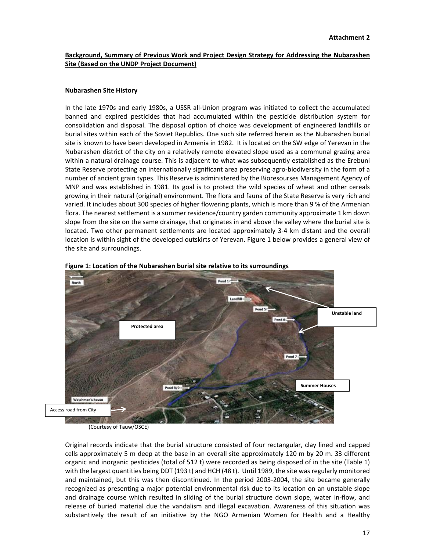### **Background, Summary of Previous Work and Project Design Strategy for Addressing the Nubarashen Site (Based on the UNDP Project Document)**

#### **Nubarashen Site History**

In the late 1970s and early 1980s, a USSR all‐Union program was initiated to collect the accumulated banned and expired pesticides that had accumulated within the pesticide distribution system for consolidation and disposal. The disposal option of choice was development of engineered landfills or burial sites within each of the Soviet Republics. One such site referred herein as the Nubarashen burial site is known to have been developed in Armenia in 1982. It is located on the SW edge of Yerevan in the Nubarashen district of the city on a relatively remote elevated slope used as a communal grazing area within a natural drainage course. This is adjacent to what was subsequently established as the Erebuni State Reserve protecting an internationally significant area preserving agro-biodiversity in the form of a number of ancient grain types. This Reserve is administered by the Bioresourses Management Agency of MNP and was established in 1981. Its goal is to protect the wild species of wheat and other cereals growing in their natural (original) environment. The flora and fauna of the State Reserve is very rich and varied. It includes about 300 species of higher flowering plants, which is more than 9 % of the Armenian flora. The nearest settlement is a summer residence/country garden community approximate 1 km down slope from the site on the same drainage, that originates in and above the valley where the burial site is located. Two other permanent settlements are located approximately 3‐4 km distant and the overall location is within sight of the developed outskirts of Yerevan. Figure 1 below provides a general view of the site and surroundings.





(Courtesy of Tauw/OSCE)

Original records indicate that the burial structure consisted of four rectangular, clay lined and capped cells approximately 5 m deep at the base in an overall site approximately 120 m by 20 m. 33 different organic and inorganic pesticides (total of 512 t) were recorded as being disposed of in the site (Table 1) with the largest quantities being DDT (193 t) and HCH (48 t). Until 1989, the site was regularly monitored and maintained, but this was then discontinued. In the period 2003‐2004, the site became generally recognized as presenting a major potential environmental risk due to its location on an unstable slope and drainage course which resulted in sliding of the burial structure down slope, water in‐flow, and release of buried material due the vandalism and illegal excavation. Awareness of this situation was substantively the result of an initiative by the NGO Armenian Women for Health and a Healthy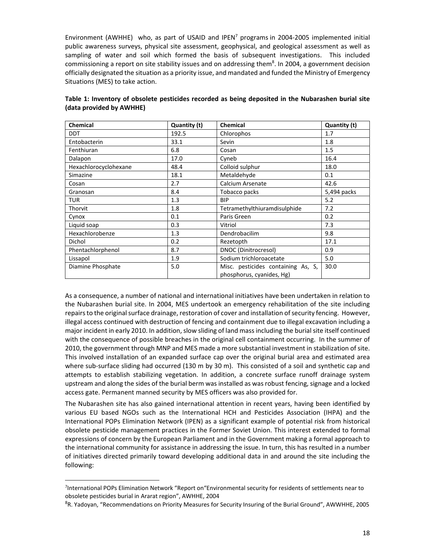Environment (AWHHE) who, as part of USAID and IPEN<sup>7</sup> programs in 2004-2005 implemented initial public awareness surveys, physical site assessment, geophysical, and geological assessment as well as sampling of water and soil which formed the basis of subsequent investigations. This included commissioning a report on site stability issues and on addressing them<sup>8</sup>. In 2004, a government decision officially designated the situation as a priority issue, and mandated and funded the Ministry of Emergency Situations (MES) to take action.

| Chemical              | Quantity (t) | Chemical                           | Quantity (t) |
|-----------------------|--------------|------------------------------------|--------------|
| <b>DDT</b>            | 192.5        | Chlorophos                         | 1.7          |
| Entobacterin          | 33.1         | Sevin                              | 1.8          |
| Fenthiuran            | 6.8          | Cosan                              | 1.5          |
| Dalapon               | 17.0         | Cyneb                              | 16.4         |
| Hexachlorocyclohexane | 48.4         | Colloid sulphur                    | 18.0         |
| Simazine              | 18.1         | Metaldehyde                        | 0.1          |
| Cosan                 | 2.7          | Calcium Arsenate                   | 42.6         |
| Granosan              | 8.4          | Tobacco packs                      | 5,494 packs  |
| <b>TUR</b>            | 1.3          | <b>BIP</b>                         | 5.2          |
| Thorvit               | 1.8          | Tetramethylthiuramdisulphide       | 7.2          |
| Cynox                 | 0.1          | Paris Green                        | 0.2          |
| Liquid soap           | 0.3          | Vitriol                            | 7.3          |
| Hexachlorobenze       | 1.3          | Dendrobacilim                      | 9.8          |
| Dichol                | 0.2          | Rezetopth                          | 17.1         |
| Phentachlorphenol     | 8.7          | DNOC (Dinitrocresol)               | 0.9          |
| Lissapol              | 1.9          | Sodium trichloroacetate            | 5.0          |
| Diamine Phosphate     | 5.0          | Misc. pesticides containing As, S, | 30.0         |
|                       |              | phosphorus, cyanides, Hg)          |              |

| Table 1: Inventory of obsolete pesticides recorded as being deposited in the Nubarashen burial site |  |  |  |
|-----------------------------------------------------------------------------------------------------|--|--|--|
| (data provided by AWHHE)                                                                            |  |  |  |

As a consequence, a number of national and international initiatives have been undertaken in relation to the Nubarashen burial site. In 2004, MES undertook an emergency rehabilitation of the site including repairs to the original surface drainage, restoration of cover and installation of security fencing. However, illegal access continued with destruction of fencing and containment due to illegal excavation including a major incident in early 2010. In addition, slow sliding of land mass including the burial site itself continued with the consequence of possible breaches in the original cell containment occurring. In the summer of 2010, the government through MNP and MES made a more substantial investment in stabilization of site. This involved installation of an expanded surface cap over the original burial area and estimated area where sub-surface sliding had occurred (130 m by 30 m). This consisted of a soil and synthetic cap and attempts to establish stabilizing vegetation. In addition, a concrete surface runoff drainage system upstream and along the sides of the burial berm was installed as wasrobust fencing, signage and a locked access gate. Permanent manned security by MES officers was also provided for.

The Nubarashen site has also gained international attention in recent years, having been identified by various EU based NGOs such as the International HCH and Pesticides Association (IHPA) and the International POPs Elimination Network (IPEN) as a significant example of potential risk from historical obsolete pesticide management practices in the Former Soviet Union. This interest extended to formal expressions of concern by the European Parliament and in the Government making a formal approach to the international community for assistance in addressing the issue. In turn, this has resulted in a number of initiatives directed primarily toward developing additional data in and around the site including the following:

<sup>&</sup>lt;sup>7</sup>International POPs Elimination Network "Report on"Environmental security for residents of settlements near to obsolete pesticides burial in Ararat region", AWHHE, 2004

<sup>&</sup>lt;sup>8</sup>R. Yadoyan, "Recommendations on Priority Measures for Security Insuring of the Burial Ground", AWWHHE, 2005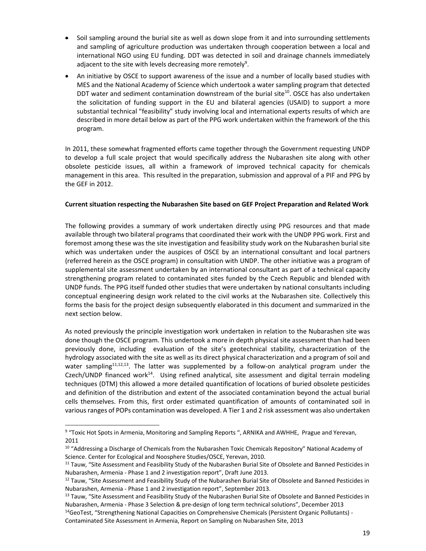- Soil sampling around the burial site as well as down slope from it and into surrounding settlements and sampling of agriculture production was undertaken through cooperation between a local and international NGO using EU funding. DDT was detected in soil and drainage channels immediately adjacent to the site with levels decreasing more remotely<sup>9</sup>.
- An initiative by OSCE to support awareness of the issue and a number of locally based studies with MES and the National Academy of Science which undertook a water sampling program that detected DDT water and sediment contamination downstream of the burial site $10$ . OSCE has also undertaken the solicitation of funding support in the EU and bilateral agencies (USAID) to support a more substantial technical "feasibility" study involving local and international experts results of which are described in more detail below as part of the PPG work undertaken within the framework of the this program.

In 2011, these somewhat fragmented efforts came together through the Government requesting UNDP to develop a full scale project that would specifically address the Nubarashen site along with other obsolete pesticide issues, all within a framework of improved technical capacity for chemicals management in this area. This resulted in the preparation, submission and approval of a PIF and PPG by the GEF in 2012.

### **Current situation respecting the Nubarashen Site based on GEF Project Preparation and Related Work**

The following provides a summary of work undertaken directly using PPG resources and that made available through two bilateral programs that coordinated their work with the UNDP PPG work. First and foremost among these was the site investigation and feasibility study work on the Nubarashen burial site which was undertaken under the auspices of OSCE by an international consultant and local partners (referred herein as the OSCE program) in consultation with UNDP. The other initiative was a program of supplemental site assessment undertaken by an international consultant as part of a technical capacity strengthening program related to contaminated sites funded by the Czech Republic and blended with UNDP funds. The PPG itself funded other studies that were undertaken by national consultants including conceptual engineering design work related to the civil works at the Nubarashen site. Collectively this forms the basis for the project design subsequently elaborated in this document and summarized in the next section below.

As noted previously the principle investigation work undertaken in relation to the Nubarashen site was done though the OSCE program. This undertook a more in depth physical site assessment than had been previously done, including evaluation of the site's geotechnical stability, characterization of the hydrology associated with the site as well as its direct physical characterization and a program of soil and water sampling<sup>11,12,13</sup>. The latter was supplemented by a follow-on analytical program under the Czech/UNDP financed work<sup>14</sup>. Using refined analytical, site assessment and digital terrain modeling techniques (DTM) this allowed a more detailed quantification of locations of buried obsolete pesticides and definition of the distribution and extent of the associated contamination beyond the actual burial cells themselves. From this, first order estimated quantification of amounts of contaminated soil in various ranges of POPs contamination was developed. A Tier 1 and 2 risk assessment was also undertaken

<sup>&</sup>lt;sup>9</sup> "Toxic Hot Spots in Armenia, Monitoring and Sampling Reports ", ARNIKA and AWHHE, Prague and Yerevan, 2011

 $10$  "Addressing a Discharge of Chemicals from the Nubarashen Toxic Chemicals Repository" National Academy of Science. Center for Ecological and Noosphere Studies/OSCE, Yerevan, 2010.

<sup>&</sup>lt;sup>11</sup> Tauw, "Site Assessment and Feasibility Study of the Nubarashen Burial Site of Obsolete and Banned Pesticides in Nubarashen, Armenia ‐ Phase 1 and 2 investigation report", Draft June 2013.

<sup>&</sup>lt;sup>12</sup> Tauw, "Site Assessment and Feasibility Study of the Nubarashen Burial Site of Obsolete and Banned Pesticides in Nubarashen, Armenia ‐ Phase 1 and 2 investigation report", September 2013.

<sup>&</sup>lt;sup>13</sup> Tauw, "Site Assessment and Feasibility Study of the Nubarashen Burial Site of Obsolete and Banned Pesticides in Nubarashen, Armenia ‐ Phase 3 Selection & pre‐design of long term technical solutions", December 2013

<sup>&</sup>lt;sup>14</sup>GeoTest, "Strengthening National Capacities on Comprehensive Chemicals (Persistent Organic Pollutants) -

Contaminated Site Assessment in Armenia, Report on Sampling on Nubarashen Site, 2013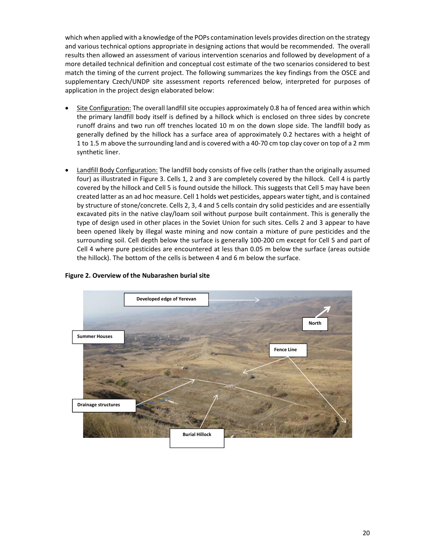which when applied with a knowledge of the POPs contamination levels provides direction on the strategy and various technical options appropriate in designing actions that would be recommended. The overall results then allowed an assessment of various intervention scenarios and followed by development of a more detailed technical definition and conceptual cost estimate of the two scenarios considered to best match the timing of the current project. The following summarizes the key findings from the OSCE and supplementary Czech/UNDP site assessment reports referenced below, interpreted for purposes of application in the project design elaborated below:

- Site Configuration: The overall landfill site occupies approximately 0.8 ha of fenced area within which the primary landfill body itself is defined by a hillock which is enclosed on three sides by concrete runoff drains and two run off trenches located 10 m on the down slope side. The landfill body as generally defined by the hillock has a surface area of approximately 0.2 hectares with a height of 1 to 1.5 m above the surrounding land and is covered with a 40‐70 cm top clay cover on top of a 2 mm synthetic liner.
- Landfill Body Configuration: The landfill body consists of five cells (rather than the originally assumed four) as illustrated in Figure 3. Cells 1, 2 and 3 are completely covered by the hillock. Cell 4 is partly covered by the hillock and Cell 5 is found outside the hillock. This suggests that Cell 5 may have been created latter as an ad hoc measure. Cell 1 holds wet pesticides, appears water tight, and is contained by structure of stone/concrete. Cells 2, 3, 4 and 5 cells contain dry solid pesticides and are essentially excavated pits in the native clay/loam soil without purpose built containment. This is generally the type of design used in other places in the Soviet Union for such sites. Cells 2 and 3 appear to have been opened likely by illegal waste mining and now contain a mixture of pure pesticides and the surrounding soil. Cell depth below the surface is generally 100‐200 cm except for Cell 5 and part of Cell 4 where pure pesticides are encountered at less than 0.05 m below the surface (areas outside the hillock). The bottom of the cells is between 4 and 6 m below the surface.



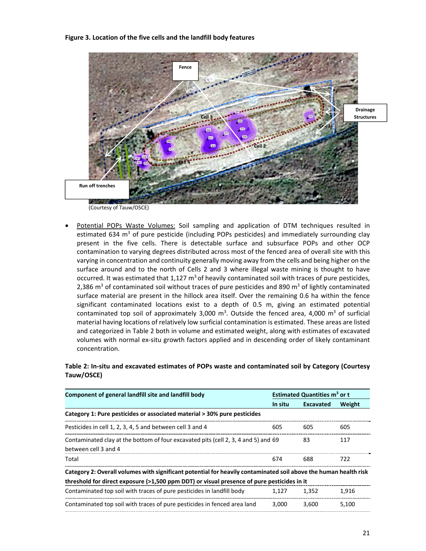#### **Figure 3. Location of the five cells and the landfill body features**



(Courtesy of Tauw/OSCE)

 Potential POPs Waste Volumes: Soil sampling and application of DTM techniques resulted in estimated 634  $m<sup>3</sup>$  of pure pesticide (including POPs pesticides) and immediately surrounding clay present in the five cells. There is detectable surface and subsurface POPs and other OCP contamination to varying degrees distributed across most of the fenced area of overall site with this varying in concentration and continuity generally moving away from the cells and being higher on the surface around and to the north of Cells 2 and 3 where illegal waste mining is thought to have occurred. It was estimated that  $1,127 \text{ m}^3$  of heavily contaminated soil with traces of pure pesticides, 2,386 m<sup>3</sup> of contaminated soil without traces of pure pesticides and 890 m<sup>3</sup> of lightly contaminated surface material are present in the hillock area itself. Over the remaining 0.6 ha within the fence significant contaminated locations exist to a depth of 0.5 m, giving an estimated potential contaminated top soil of approximately 3,000  $m^3$ . Outside the fenced area, 4,000  $m^3$  of surficial material having locations of relatively low surficial contamination is estimated. These areas are listed and categorized in Table 2 both in volume and estimated weight, along with estimates of excavated volumes with normal ex‐situ growth factors applied and in descending order of likely contaminant concentration.

### **Table 2: In‐situ and excavated estimates of POPs waste and contaminated soil by Category (Courtesy Tauw/OSCE)**

| Component of general landfill site and landfill body                                                             |         | <b>Estimated Quantities m<sup>3</sup> or t</b> |        |  |
|------------------------------------------------------------------------------------------------------------------|---------|------------------------------------------------|--------|--|
|                                                                                                                  | In situ | <b>Excavated</b>                               | Weight |  |
| Category 1: Pure pesticides or associated material > 30% pure pesticides                                         |         |                                                |        |  |
| Pesticides in cell 1, 2, 3, 4, 5 and between cell 3 and 4                                                        | 605     | 605                                            | 605    |  |
| Contaminated clay at the bottom of four excavated pits (cell 2, 3, 4 and 5) and 69<br>between cell 3 and 4       |         | 83                                             | 117    |  |
| Total                                                                                                            | 674     | 688                                            | 722    |  |
| Category 2: Overall volumes with significant potential for heavily contaminated soil above the human health risk |         |                                                |        |  |
| threshold for direct exposure (>1,500 ppm DDT) or visual presence of pure pesticides in it                       |         |                                                |        |  |
| Contaminated top soil with traces of pure pesticides in landfill body                                            | 1.127   | 1,352                                          | 1,916  |  |
| Contaminated top soil with traces of pure pesticides in fenced area land                                         | 3,000   | 3,600                                          | 5.100  |  |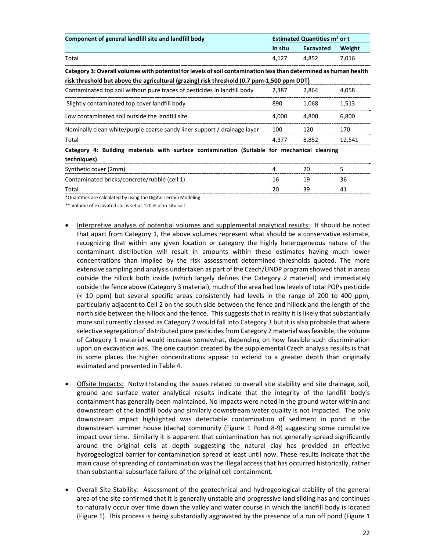| Component of general landfill site and landfill body                                                             |         | <b>Estimated Quantities m<sup>3</sup> or t</b> |        |  |  |
|------------------------------------------------------------------------------------------------------------------|---------|------------------------------------------------|--------|--|--|
|                                                                                                                  | In situ | <b>Excavated</b>                               | Weight |  |  |
| Total                                                                                                            | 4,127   | 4,852                                          | 7,016  |  |  |
| Category 3: Overall volumes with potential for levels of soil contamination less than determined as human health |         |                                                |        |  |  |
| risk threshold but above the agricultural (grazing) risk threshold (0.7 ppm-1,500 ppm DDT)                       |         |                                                |        |  |  |
| Contaminated top soil without pure traces of pesticides in landfill body                                         | 2,387   | 2,864                                          | 4,058  |  |  |
| Slightly contaminated top cover landfill body                                                                    | 890     | 1,068                                          | 1,513  |  |  |
| Low contaminated soil outside the landfill site                                                                  | 4,000   | 4,800                                          | 6,800  |  |  |
| Nominally clean white/purple coarse sandy liner support / drainage layer                                         | 100     | 120                                            | 170    |  |  |
| Total                                                                                                            | 4,377   | 8,852                                          | 12,541 |  |  |
| Category 4: Building materials with surface contamination (Suitable for mechanical cleaning<br>techniques)       |         |                                                |        |  |  |
| Synthetic cover (2mm)                                                                                            | 4       | 20                                             | 5      |  |  |
| Contaminated bricks/concrete/rubble (cell 1)                                                                     | 16      | 19                                             | 36     |  |  |
| Total                                                                                                            | 20      | 39                                             | 41     |  |  |

\*Quantities are calculated by using the Digital Terrain Modeling

\*\* Volume of excavated soil is set as 120 % of in‐situ soil

- Interpretive analysis of potential volumes and supplemental analytical results: It should be noted that apart from Category 1, the above volumes represent what should be a conservative estimate, recognizing that within any given location or category the highly heterogeneous nature of the contaminant distribution will result in amounts within these estimates having much lower concentrations than implied by the risk assessment determined thresholds quoted. The more extensive sampling and analysis undertaken as part of the Czech/UNDP program showed that in areas outside the hillock both inside (which largely defines the Category 2 material) and immediately outside the fence above (Category 3 material), much of the area had low levels of total POPs pesticide (< 10 ppm) but several specific areas consistently had levels in the range of 200 to 400 ppm, particularly adjacent to Cell 2 on the south side between the fence and hillock and the length of the north side between the hillock and the fence. This suggests that in reality it is likely that substantially more soil currently classed as Category 2 would fall into Category 3 but it is also probable that where selective segregation of distributed pure pesticides from Category 2 material was feasible, the volume of Category 1 material would increase somewhat, depending on how feasible such discrimination upon on excavation was. The one caution created by the supplemental Czech analysis results is that in some places the higher concentrations appear to extend to a greater depth than originally estimated and presented in Table 4.
- Offsite Impacts: Notwithstanding the issues related to overall site stability and site drainage, soil, ground and surface water analytical results indicate that the integrity of the landfill body's containment has generally been maintained. No impacts were noted in the ground water within and downstream of the landfill body and similarly downstream water quality is not impacted. The only downstream impact highlighted was detectable contamination of sediment in pond in the downstream summer house (dacha) community (Figure 1 Pond 8‐9) suggesting some cumulative impact over time. Similarly it is apparent that contamination has not generally spread significantly around the original cells at depth suggesting the natural clay has provided an effective hydrogeological barrier for contamination spread at least until now. These results indicate that the main cause of spreading of contamination was the illegal access that has occurred historically, rather than substantial subsurface failure of the original cell containment.
- Overall Site Stability: Assessment of the geotechnical and hydrogeological stability of the general area of the site confirmed that it is generally unstable and progressive land sliding has and continues to naturally occur over time down the valley and water course in which the landfill body is located (Figure 1). This process is being substantially aggravated by the presence of a run off pond (Figure 1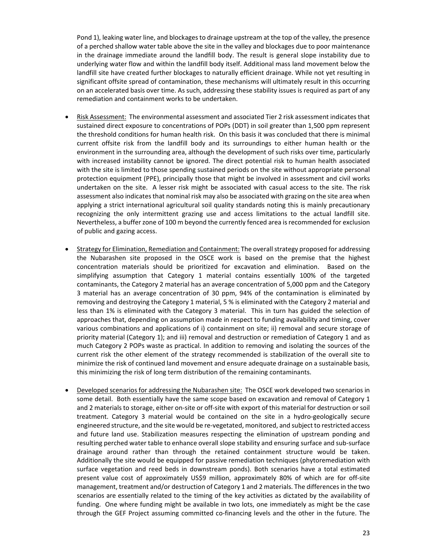Pond 1), leaking water line, and blockagesto drainage upstream at the top of the valley, the presence of a perched shallow water table above the site in the valley and blockages due to poor maintenance in the drainage immediate around the landfill body. The result is general slope instability due to underlying water flow and within the landfill body itself. Additional mass land movement below the landfill site have created further blockages to naturally efficient drainage. While not yet resulting in significant offsite spread of contamination, these mechanisms will ultimately result in this occurring on an accelerated basis over time. As such, addressing these stability issues is required as part of any remediation and containment works to be undertaken.

- Risk Assessment: The environmental assessment and associated Tier 2 risk assessment indicates that sustained direct exposure to concentrations of POPs (DDT) in soil greater than 1,500 ppm represent the threshold conditions for human health risk. On this basis it was concluded that there is minimal current offsite risk from the landfill body and its surroundings to either human health or the environment in the surrounding area, although the development of such risks over time, particularly with increased instability cannot be ignored. The direct potential risk to human health associated with the site is limited to those spending sustained periods on the site without appropriate personal protection equipment (PPE), principally those that might be involved in assessment and civil works undertaken on the site. A lesser risk might be associated with casual access to the site. The risk assessment also indicates that nominal risk may also be associated with grazing on the site area when applying a strict international agricultural soil quality standards noting this is mainly precautionary recognizing the only intermittent grazing use and access limitations to the actual landfill site. Nevertheless, a buffer zone of 100 m beyond the currently fenced area is recommended for exclusion of public and gazing access.
- Strategy for Elimination, Remediation and Containment: The overall strategy proposed for addressing the Nubarashen site proposed in the OSCE work is based on the premise that the highest concentration materials should be prioritized for excavation and elimination. Based on the simplifying assumption that Category 1 material contains essentially 100% of the targeted contaminants, the Category 2 material has an average concentration of 5,000 ppm and the Category 3 material has an average concentration of 30 ppm, 94% of the contamination is eliminated by removing and destroying the Category 1 material, 5 % is eliminated with the Category 2 material and less than 1% is eliminated with the Category 3 material. This in turn has guided the selection of approaches that, depending on assumption made in respect to funding availability and timing, cover various combinations and applications of i) containment on site; ii) removal and secure storage of priority material (Category 1); and iii) removal and destruction or remediation of Category 1 and as much Category 2 POPs waste as practical. In addition to removing and isolating the sources of the current risk the other element of the strategy recommended is stabilization of the overall site to minimize the risk of continued land movement and ensure adequate drainage on a sustainable basis, this minimizing the risk of long term distribution of the remaining contaminants.
- Developed scenarios for addressing the Nubarashen site: The OSCE work developed two scenarios in some detail. Both essentially have the same scope based on excavation and removal of Category 1 and 2 materials to storage, either on-site or off-site with export of this material for destruction or soil treatment. Category 3 material would be contained on the site in a hydro‐geologically secure engineered structure, and the site would be re-vegetated, monitored, and subject to restricted access and future land use. Stabilization measures respecting the elimination of upstream ponding and resulting perched water table to enhance overall slope stability and ensuring surface and sub‐surface drainage around rather than through the retained containment structure would be taken. Additionally the site would be equipped for passive remediation techniques (phytoremediation with surface vegetation and reed beds in downstream ponds). Both scenarios have a total estimated present value cost of approximately US\$9 million, approximately 80% of which are for off-site management, treatment and/or destruction of Category 1 and 2 materials. The differencesin the two scenarios are essentially related to the timing of the key activities as dictated by the availability of funding. One where funding might be available in two lots, one immediately as might be the case through the GEF Project assuming committed co-financing levels and the other in the future. The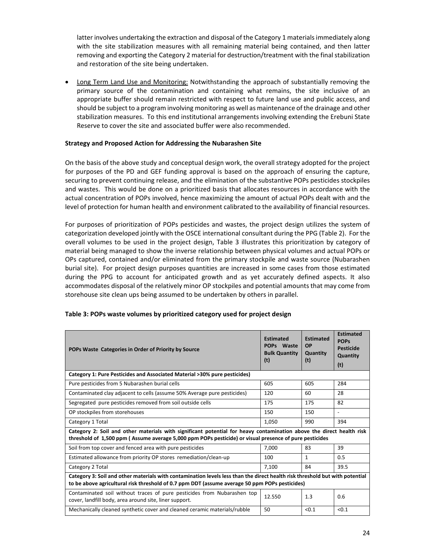latter involves undertaking the extraction and disposal of the Category 1 materials immediately along with the site stabilization measures with all remaining material being contained, and then latter removing and exporting the Category 2 material for destruction/treatment with the final stabilization and restoration of the site being undertaken.

 Long Term Land Use and Monitoring: Notwithstanding the approach of substantially removing the primary source of the contamination and containing what remains, the site inclusive of an appropriate buffer should remain restricted with respect to future land use and public access, and should be subject to a program involving monitoring as well as maintenance of the drainage and other stabilization measures. To this end institutional arrangements involving extending the Erebuni State Reserve to cover the site and associated buffer were also recommended.

### **Strategy and Proposed Action for Addressing the Nubarashen Site**

On the basis of the above study and conceptual design work, the overall strategy adopted for the project for purposes of the PD and GEF funding approval is based on the approach of ensuring the capture, securing to prevent continuing release, and the elimination of the substantive POPs pesticides stockpiles and wastes. This would be done on a prioritized basis that allocates resources in accordance with the actual concentration of POPs involved, hence maximizing the amount of actual POPs dealt with and the level of protection for human health and environment calibrated to the availability of financial resources.

For purposes of prioritization of POPs pesticides and wastes, the project design utilizes the system of categorization developed jointly with the OSCE international consultant during the PPG (Table 2). For the overall volumes to be used in the project design, Table 3 illustrates this prioritization by category of material being managed to show the inverse relationship between physical volumes and actual POPs or OPs captured, contained and/or eliminated from the primary stockpile and waste source (Nubarashen burial site). For project design purposes quantities are increased in some cases from those estimated during the PPG to account for anticipated growth and as yet accurately defined aspects. It also accommodates disposal of the relatively minor OP stockpiles and potential amounts that may come from storehouse site clean ups being assumed to be undertaken by others in parallel.

| POPs Waste Categories in Order of Priority by Source                                                                                                                                                                           | <b>Estimated</b><br>POPs Waste<br><b>Bulk Quantity</b><br>(t) | <b>Estimated</b><br><b>OP</b><br>Quantity<br>(t) | <b>Estimated</b><br><b>POPs</b><br><b>Pesticide</b><br>Quantity<br>(t) |  |
|--------------------------------------------------------------------------------------------------------------------------------------------------------------------------------------------------------------------------------|---------------------------------------------------------------|--------------------------------------------------|------------------------------------------------------------------------|--|
| Category 1: Pure Pesticides and Associated Material >30% pure pesticides)                                                                                                                                                      |                                                               |                                                  |                                                                        |  |
| Pure pesticides from 5 Nubarashen burial cells                                                                                                                                                                                 | 605                                                           | 605                                              | 284                                                                    |  |
| Contaminated clay adjacent to cells (assume 50% Average pure pesticides)                                                                                                                                                       | 120                                                           | 60                                               | 28                                                                     |  |
| Segregated pure pesticides removed from soil outside cells                                                                                                                                                                     | 175                                                           | 175                                              | 82                                                                     |  |
| OP stockpiles from storehouses                                                                                                                                                                                                 | 150                                                           | 150                                              | $\blacksquare$                                                         |  |
| Category 1 Total                                                                                                                                                                                                               | 1,050                                                         | 990                                              | 394                                                                    |  |
| Category 2: Soil and other materials with significant potential for heavy contamination above the direct health risk<br>threshold of 1,500 ppm (Assume average 5,000 ppm POPs pesticide) or visual presence of pure pesticides |                                                               |                                                  |                                                                        |  |
| Soil from top cover and fenced area with pure pesticides                                                                                                                                                                       | 7.000                                                         | 83                                               | 39                                                                     |  |
| Estimated allowance from priority OP stores remediation/clean-up                                                                                                                                                               | 100                                                           | 1                                                | 0.5                                                                    |  |
| Category 2 Total                                                                                                                                                                                                               | 7,100                                                         | 84                                               | 39.5                                                                   |  |
| Category 3: Soil and other materials with contamination levels less than the direct health risk threshold but with potential<br>to be above agricultural risk threshold of 0.7 ppm DDT (assume average 50 ppm POPs pesticides) |                                                               |                                                  |                                                                        |  |
| Contaminated soil without traces of pure pesticides from Nubarashen top<br>cover, landfill body, area around site, liner support.                                                                                              | 12.550                                                        | 1.3                                              | 0.6                                                                    |  |
| Mechanically cleaned synthetic cover and cleaned ceramic materials/rubble                                                                                                                                                      | 50                                                            | < 0.1                                            | < 0.1                                                                  |  |

#### **Table 3: POPs waste volumes by prioritized category used for project design**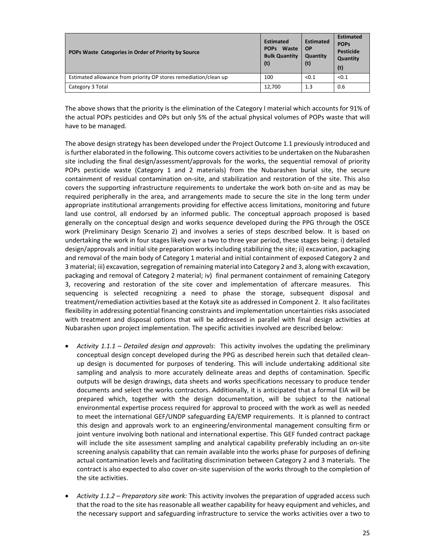| POPs Waste Categories in Order of Priority by Source             | <b>Estimated</b><br>POPs Waste<br><b>Bulk Quantity</b><br>(t) | <b>Estimated</b><br><b>OP</b><br>Quantity<br>(t) | <b>Estimated</b><br><b>POPs</b><br><b>Pesticide</b><br>Quantity<br>(t) |
|------------------------------------------------------------------|---------------------------------------------------------------|--------------------------------------------------|------------------------------------------------------------------------|
| Estimated allowance from priority OP stores remediation/clean up | 100                                                           | < 0.1                                            | < 0.1                                                                  |
| Category 3 Total                                                 | 12,700                                                        | 1.3                                              | 0.6                                                                    |

The above shows that the priority is the elimination of the Category I material which accounts for 91% of the actual POPs pesticides and OPs but only 5% of the actual physical volumes of POPs waste that will have to be managed.

The above design strategy has been developed under the Project Outcome 1.1 previously introduced and is further elaborated in the following. This outcome covers activities to be undertaken on the Nubarashen site including the final design/assessment/approvals for the works, the sequential removal of priority POPs pesticide waste (Category 1 and 2 materials) from the Nubarashen burial site, the secure containment of residual contamination on‐site, and stabilization and restoration of the site. This also covers the supporting infrastructure requirements to undertake the work both on‐site and as may be required peripherally in the area, and arrangements made to secure the site in the long term under appropriate institutional arrangements providing for effective access limitations, monitoring and future land use control, all endorsed by an informed public. The conceptual approach proposed is based generally on the conceptual design and works sequence developed during the PPG through the OSCE work (Preliminary Design Scenario 2) and involves a series of steps described below. It is based on undertaking the work in four stages likely over a two to three year period, these stages being: i) detailed design/approvals and initial site preparation works including stabilizing the site; ii) excavation, packaging and removal of the main body of Category 1 material and initial containment of exposed Category 2 and 3 material; iii) excavation, segregation of remaining material into Category 2 and 3, along with excavation, packaging and removal of Category 2 material; iv) final permanent containment of remaining Category 3, recovering and restoration of the site cover and implementation of aftercare measures. This sequencing is selected recognizing a need to phase the storage, subsequent disposal and treatment/remediation activities based at the Kotayk site as addressed in Component 2. It also facilitates flexibility in addressing potential financing constraints and implementation uncertainties risks associated with treatment and disposal options that will be addressed in parallel with final design activities at Nubarashen upon project implementation. The specific activities involved are described below:

- *Activity 1.1.1 – Detailed design and approvals*: This activity involves the updating the preliminary conceptual design concept developed during the PPG as described herein such that detailed clean‐ up design is documented for purposes of tendering. This will include undertaking additional site sampling and analysis to more accurately delineate areas and depths of contamination. Specific outputs will be design drawings, data sheets and works specifications necessary to produce tender documents and select the works contractors. Additionally, it is anticipated that a formal EIA will be prepared which, together with the design documentation, will be subject to the national environmental expertise process required for approval to proceed with the work as well as needed to meet the international GEF/UNDP safeguarding EA/EMP requirements. It is planned to contract this design and approvals work to an engineering/environmental management consulting firm or joint venture involving both national and international expertise. This GEF funded contract package will include the site assessment sampling and analytical capability preferably including an on-site screening analysis capability that can remain available into the works phase for purposes of defining actual contamination levels and facilitating discrimination between Category 2 and 3 materials. The contract is also expected to also cover on-site supervision of the works through to the completion of the site activities.
- *Activity 1.1.2 – Preparatory site work:* This activity involves the preparation of upgraded access such that the road to the site has reasonable all weather capability for heavy equipment and vehicles, and the necessary support and safeguarding infrastructure to service the works activities over a two to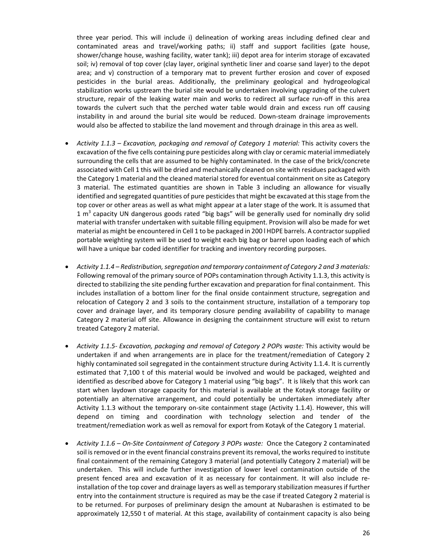three year period. This will include i) delineation of working areas including defined clear and contaminated areas and travel/working paths; ii) staff and support facilities (gate house, shower/change house, washing facility, water tank); iii) depot area for interim storage of excavated soil; iv) removal of top cover (clay layer, original synthetic liner and coarse sand layer) to the depot area; and v) construction of a temporary mat to prevent further erosion and cover of exposed pesticides in the burial areas. Additionally, the preliminary geological and hydrogeological stabilization works upstream the burial site would be undertaken involving upgrading of the culvert structure, repair of the leaking water main and works to redirect all surface run-off in this area towards the culvert such that the perched water table would drain and excess run off causing instability in and around the burial site would be reduced. Down‐steam drainage improvements would also be affected to stabilize the land movement and through drainage in this area as well.

- *Activity 1.1.3 – Excavation, packaging and removal of Category 1 material:* This activity covers the excavation of the five cells containing pure pesticides along with clay or ceramic material immediately surrounding the cells that are assumed to be highly contaminated. In the case of the brick/concrete associated with Cell 1 this will be dried and mechanically cleaned on site with residues packaged with the Category 1 material and the cleaned material stored for eventual containment on site as Category 3 material. The estimated quantities are shown in Table 3 including an allowance for visually identified and segregated quantities of pure pesticides that might be excavated at this stage from the top cover or other areas as well as what might appear at a later stage of the work. It is assumed that  $1 \text{ m}^3$  capacity UN dangerous goods rated "big bags" will be generally used for nominally dry solid material with transfer undertaken with suitable filling equipment. Provision will also be made for wet material as might be encountered in Cell 1 to be packaged in 200 l HDPE barrels. A contractorsupplied portable weighting system will be used to weight each big bag or barrel upon loading each of which will have a unique bar coded identifier for tracking and inventory recording purposes.
- *Activity 1.1.4 – Redistribution,segregation and temporary containment of Category 2 and 3 materials:* Following removal of the primary source of POPs contamination through Activity 1.1.3, this activity is directed to stabilizing the site pending further excavation and preparation for final containment. This includes installation of a bottom liner for the final onside containment structure, segregation and relocation of Category 2 and 3 soils to the containment structure, installation of a temporary top cover and drainage layer, and its temporary closure pending availability of capability to manage Category 2 material off site. Allowance in designing the containment structure will exist to return treated Category 2 material.
- *Activity 1.1.5‐ Excavation, packaging and removal of Category 2 POPs waste:* This activity would be undertaken if and when arrangements are in place for the treatment/remediation of Category 2 highly contaminated soil segregated in the containment structure during Activity 1.1.4. It is currently estimated that 7,100 t of this material would be involved and would be packaged, weighted and identified as described above for Category 1 material using "big bags". It is likely that this work can start when laydown storage capacity for this material is available at the Kotayk storage facility or potentially an alternative arrangement, and could potentially be undertaken immediately after Activity 1.1.3 without the temporary on-site containment stage (Activity 1.1.4). However, this will depend on timing and coordination with technology selection and tender of the treatment/remediation work as well as removal for export from Kotayk of the Category 1 material.
- *Activity 1.1.6 – On‐Site Containment of Category 3 POPs waste:* Once the Category 2 contaminated soil is removed or in the event financial constrains prevent its removal, the works required to institute final containment of the remaining Category 3 material (and potentially Category 2 material) will be undertaken. This will include further investigation of lower level contamination outside of the present fenced area and excavation of it as necessary for containment. It will also include reinstallation of the top cover and drainage layers as well as temporary stabilization measures if further entry into the containment structure is required as may be the case if treated Category 2 material is to be returned. For purposes of preliminary design the amount at Nubarashen is estimated to be approximately 12,550 t of material. At this stage, availability of containment capacity is also being